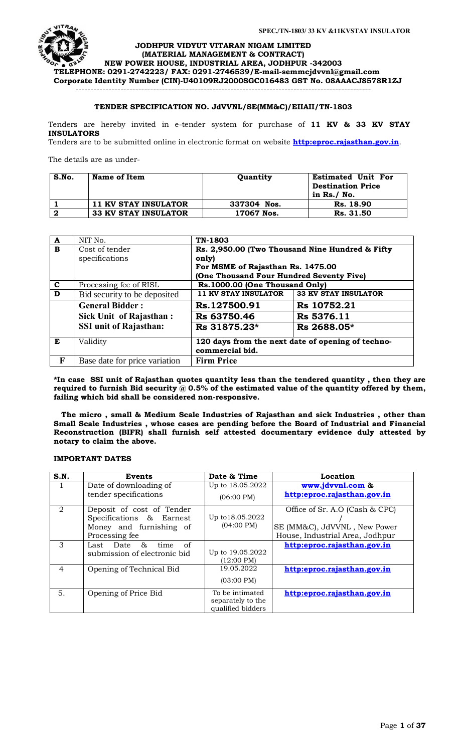

**JODHPUR VIDYUT VITARAN NIGAM LIMITED (MATERIAL MANAGEMENT & CONTRACT) NEW POWER HOUSE, INDUSTRIAL AREA, JODHPUR -342003 TELEPHONE: 0291-2742223/ FAX: 0291-2746539/E-mail-[semmcjdvvnl@gmail.com](mailto:semmcjdvvnl@gmail.com) Corporate Identity Number (CIN)-U40109RJ2000SGC016483 GST No. 08AAACJ8578R1ZJ**

---------------------------------------------------------------------------------------------------

# **TENDER SPECIFICATION NO. JdVVNL/SE(MM&C)/EIIAII/TN-1803**

Tenders are hereby invited in e-tender system for purchase of **11 KV & 33 KV STAY INSULATORS**

Tenders are to be submitted online in electronic format on website **[http:eproc.rajasthan.gov.in](http://www.eproc.rajasthan.gov.in/nicgep/app)**.

The details are as under-

| S.No.    | Name of Item                | Quantity    | <b>Estimated Unit For</b><br><b>Destination Price</b><br>in $Rs./$ No. |
|----------|-----------------------------|-------------|------------------------------------------------------------------------|
|          | 11 KV STAY INSULATOR        | 337304 Nos. | Rs. 18.90                                                              |
| <u>ヮ</u> | <b>33 KV STAY INSULATOR</b> | 17067 Nos.  | Rs. 31.50                                                              |

| $\overline{\mathbf{A}}$ | NIT No.                       | TN-1803                                                              |                             |
|-------------------------|-------------------------------|----------------------------------------------------------------------|-----------------------------|
| B                       | Cost of tender                | Rs. 2,950.00 (Two Thousand Nine Hundred & Fifty                      |                             |
|                         | specifications                | only)                                                                |                             |
|                         |                               | For MSME of Rajasthan Rs. 1475.00                                    |                             |
|                         |                               | (One Thousand Four Hundred Seventy Five)                             |                             |
| $\mathbf c$             | Processing fee of RISL        | Rs.1000.00 (One Thousand Only)                                       |                             |
| D                       | Bid security to be deposited  | <b>11 KV STAY INSULATOR</b>                                          | <b>33 KV STAY INSULATOR</b> |
|                         | <b>General Bidder:</b>        | Rs.127500.91                                                         | Rs 10752.21                 |
|                         | Sick Unit of Rajasthan:       | Rs 63750.46                                                          | Rs 5376.11                  |
|                         | <b>SSI unit of Rajasthan:</b> | Rs 31875.23*                                                         | Rs 2688.05*                 |
| E                       | Validity                      | 120 days from the next date of opening of techno-<br>commercial bid. |                             |
| F                       | Base date for price variation | <b>Firm Price</b>                                                    |                             |

**\*In case SSI unit of Rajasthan quotes quantity less than the tendered quantity , then they are**  required to furnish Bid security @ 0.5% of the estimated value of the quantity offered by them, **failing which bid shall be considered non-responsive.**

 **The micro , small & Medium Scale Industries of Rajasthan and sick Industries , other than Small Scale Industries , whose cases are pending before the Board of Industrial and Financial Reconstruction (BIFR) shall furnish self attested documentary evidence duly attested by notary to claim the above.**

### **IMPORTANT DATES**

| S.N.           | <b>Events</b>                | Date & Time          | Location                        |
|----------------|------------------------------|----------------------|---------------------------------|
|                | Date of downloading of       | Up to 18.05.2022     | www.jdvvnl.com &                |
|                | tender specifications        | $(06:00 \text{ PM})$ | http:eproc.rajasthan.gov.in     |
| $\overline{2}$ | Deposit of cost of Tender    |                      | Office of Sr. A.O (Cash & CPC)  |
|                | Specifications & Earnest     | Up to 18.05.2022     |                                 |
|                | Money and furnishing of      | $(04:00 \text{ PM})$ | SE (MM&C), JdVVNL, New Power    |
|                | Processing fee.              |                      | House, Industrial Area, Jodhpur |
| 3              | &<br>of<br>Last Date<br>time |                      | http:eproc.rajasthan.gov.in     |
|                | submission of electronic bid | Up to 19.05.2022     |                                 |
|                |                              | $(12:00 \text{ PM})$ |                                 |
| 4              | Opening of Technical Bid     | 19.05.2022           | http:eproc.rajasthan.gov.in     |
|                |                              | $(03:00 \text{ PM})$ |                                 |
| 5.             | Opening of Price Bid         | To be intimated      | http:eproc.rajasthan.gov.in     |
|                |                              | separately to the    |                                 |
|                |                              | qualified bidders    |                                 |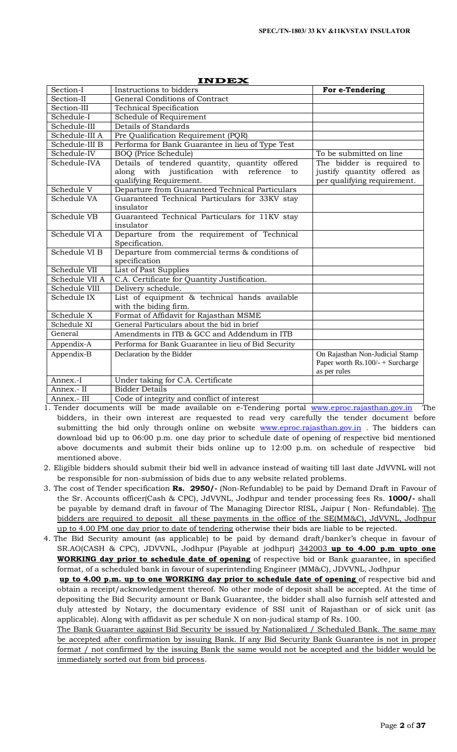| Section-I      | Instructions to bidders                                                                                                    | For e-Tendering                                                                         |
|----------------|----------------------------------------------------------------------------------------------------------------------------|-----------------------------------------------------------------------------------------|
| Section-II     | General Conditions of Contract                                                                                             |                                                                                         |
| Section-III    | <b>Technical Specification</b>                                                                                             |                                                                                         |
| Schedule-I     | Schedule of Requirement                                                                                                    |                                                                                         |
| Schedule-III   | Details of Standards                                                                                                       |                                                                                         |
| Schedule-III A | Pre Qualification Requirement (PQR)                                                                                        |                                                                                         |
| Schedule-III B | Performa for Bank Guarantee in lieu of Type Test                                                                           |                                                                                         |
| Schedule-IV    | <b>BOQ</b> (Price Schedule)                                                                                                | To be submitted on line                                                                 |
| Schedule-IVA   | Details of tendered quantity, quantity offered<br>along with justification with reference<br>to<br>qualifying Requirement. | The bidder is required to<br>justify quantity offered as<br>per qualifying requirement. |
| Schedule V     | Departure from Guaranteed Technical Particulars                                                                            |                                                                                         |
| Schedule VA    | Guaranteed Technical Particulars for 33KV stay<br>insulator                                                                |                                                                                         |
| Schedule VB    | Guaranteed Technical Particulars for 11KV stay<br>insulator                                                                |                                                                                         |
| Schedule VI A  | Departure from the requirement of Technical<br>Specification.                                                              |                                                                                         |
| Schedule VI B  | Departure from commercial terms & conditions of<br>specification                                                           |                                                                                         |
| Schedule VII   | List of Past Supplies                                                                                                      |                                                                                         |
| Schedule VII A | C.A. Certificate for Quantity Justification.                                                                               |                                                                                         |
| Schedule VIII  | Delivery schedule.                                                                                                         |                                                                                         |
| Schedule IX    | List of equipment & technical hands available<br>with the biding firm.                                                     |                                                                                         |
| Schedule X     | Format of Affidavit for Rajasthan MSME                                                                                     |                                                                                         |
| Schedule XI    | General Particulars about the bid in brief                                                                                 |                                                                                         |
| General        | Amendments in ITB & GCC and Addendum in ITB                                                                                |                                                                                         |
| Appendix-A     | Performa for Bank Guarantee in lieu of Bid Security                                                                        |                                                                                         |
| Appendix-B     | Declaration by the Bidder                                                                                                  | On Rajasthan Non-Judicial Stamp<br>Paper worth $Rs.100/- + Surcharge$<br>as per rules   |
| Annex.-I       | Under taking for C.A. Certificate                                                                                          |                                                                                         |
| Annex.- II     | <b>Bidder Details</b>                                                                                                      |                                                                                         |
| Annex.- III    | Code of integrity and conflict of interest                                                                                 |                                                                                         |

**INDEX**

1. Tender documents will be made available on e-Tendering portal [www.eproc.rajasthan.gov.in](http://www.eproc.rajasthan.gov.in/) The bidders, in their own interest are requested to read very carefully the tender document before submitting the bid only through online on website [www.eproc.rajasthan.gov.in](http://www.eproc.rajasthan.gov.in/) . The bidders can download bid up to 06:00 p.m. one day prior to schedule date of opening of respective bid mentioned above documents and submit their bids online up to 12:00 p.m. on schedule of respective bid mentioned above.

- 2. Eligible bidders should submit their bid well in advance instead of waiting till last date JdVVNL will not be responsible for non-submission of bids due to any website related problems.
- 3. The cost of Tender specification **Rs. 2950/-** (Non-Refundable) to be paid by Demand Draft in Favour of the Sr. Accounts officer(Cash & CPC), JdVVNL, Jodhpur and tender processing fees Rs. **1000/-** shall be payable by demand draft in favour of The Managing Director RISL, Jaipur ( Non- Refundable). The bidders are required to deposit all these payments in the office of the SE(MM&C), JdVVNL, Jodhpur up to 4.00 PM one day prior to date of tendering otherwise their bids are liable to be rejected.
- 4. The Bid Security amount (as applicable) to be paid by demand draft/banker's cheque in favour of SR.AO(CASH & CPC), JDVVNL, Jodhpur (Payable at jodhpur) 342003 **up to 4.00 p.m upto one WORKING day prior to schedule date of opening** of respective bid or Bank guarantee, in specified format, of a scheduled bank in favour of superintending Engineer (MM&C), JDVVNL, Jodhpur

**up to 4.00 p.m. up to one WORKING day prior to schedule date of opening** of respective bid and obtain a receipt/acknowledgement thereof. No other mode of deposit shall be accepted. At the time of depositing the Bid Security amount or Bank Guarantee, the bidder shall also furnish self attested and duly attested by Notary, the documentary evidence of SSI unit of Rajasthan or of sick unit (as applicable). Along with affidavit as per schedule X on non-judical stamp of Rs. 100.

The Bank Guarantee against Bid Security be issued by Nationalized / Scheduled Bank. The same may be accepted after confirmation by issuing Bank. If any Bid Security Bank Guarantee is not in proper format / not confirmed by the issuing Bank the same would not be accepted and the bidder would be immediately sorted out from bid process.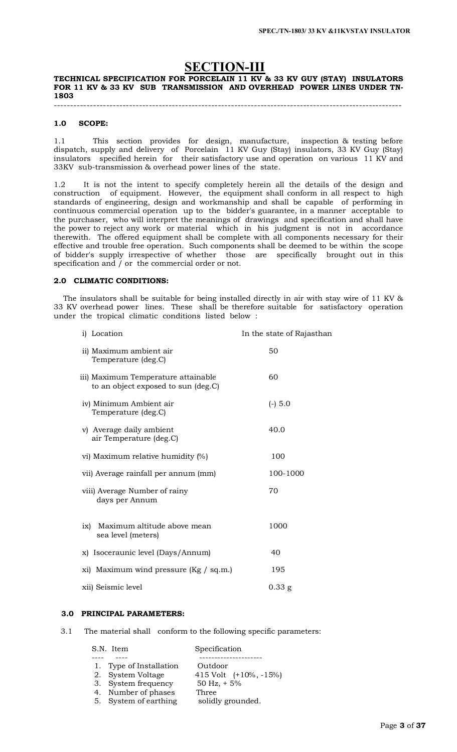# **SECTION-III**

### **TECHNICAL SPECIFICATION FOR PORCELAIN 11 KV & 33 KV GUY (STAY) INSULATORS**  FOR 11 KV & 33 KV SUB TRANSMISSION AND OVERHEAD POWER LINES UNDER TN-**1803**

----------------------------------------------------------------------------------------------------------

### **1.0 SCOPE:**

1.1 This section provides for design, manufacture, inspection & testing before dispatch, supply and delivery of Porcelain 11 KV Guy (Stay) insulators, 33 KV Guy (Stay) insulators specified herein for their satisfactory use and operation on various 11 KV and 33KV sub-transmission & overhead power lines of the state.

1.2 It is not the intent to specify completely herein all the details of the design and construction of equipment. However, the equipment shall conform in all respect to high standards of engineering, design and workmanship and shall be capable of performing in continuous commercial operation up to the bidder's guarantee, in a manner acceptable to the purchaser, who will interpret the meanings of drawings and specification and shall have the power to reject any work or material which in his judgment is not in accordance therewith. The offered equipment shall be complete with all components necessary for their effective and trouble free operation. Such components shall be deemed to be within the scope of bidder's supply irrespective of whether those are specifically brought out in this specification and / or the commercial order or not.

### **2.0 CLIMATIC CONDITIONS:**

 The insulators shall be suitable for being installed directly in air with stay wire of 11 KV & 33 KV overhead power lines. These shall be therefore suitable for satisfactory operation under the tropical climatic conditions listed below :

| i) Location                                                                | In the state of Rajasthan |
|----------------------------------------------------------------------------|---------------------------|
| ii) Maximum ambient air<br>Temperature (deg.C)                             | 50                        |
| iii) Maximum Temperature attainable<br>to an object exposed to sun (deg.C) | 60                        |
| iv) Minimum Ambient air<br>Temperature (deg.C)                             | $(-) 5.0$                 |
| v) Average daily ambient<br>air Temperature (deg.C)                        | 40.0                      |
| vi) Maximum relative humidity (%)                                          | 100                       |
| vii) Average rainfall per annum (mm)                                       | 100-1000                  |
| viii) Average Number of rainy<br>days per Annum                            | 70                        |
| Maximum altitude above mean<br>ix)<br>sea level (meters)                   | 1000                      |
| x) Isoceraunic level (Days/Annum)                                          | 40                        |
| xi) Maximum wind pressure $(Kg / sq.m.)$                                   | 195                       |
| xii) Seismic level                                                         | $0.33$ g                  |

### **3.0 PRINCIPAL PARAMETERS:**

3.1 The material shall conform to the following specific parameters:

| S.N. Item               | Specification            |
|-------------------------|--------------------------|
|                         |                          |
| 1. Type of Installation | Outdoor                  |
| 2. System Voltage       | 415 Volt $(+10\%,-15\%)$ |
| 3. System frequency     | 50 Hz, $+5\%$            |
| 4. Number of phases     | Three                    |
| 5. System of earthing   | solidly grounded.        |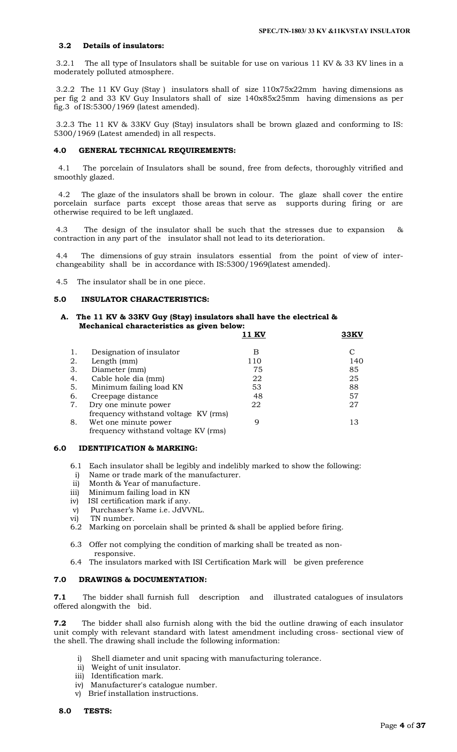### **3.2 Details of insulators:**

3.2.1 The all type of Insulators shall be suitable for use on various 11 KV & 33 KV lines in a moderately polluted atmosphere.

3.2.2 The 11 KV Guy (Stay ) insulators shall of size 110x75x22mm having dimensions as per fig 2 and 33 KV Guy Insulators shall of size 140x85x25mm having dimensions as per fig.3 of IS:5300/1969 (latest amended).

3.2.3 The 11 KV & 33KV Guy (Stay) insulators shall be brown glazed and conforming to IS: 5300/1969 (Latest amended) in all respects.

### **4.0 GENERAL TECHNICAL REQUIREMENTS:**

 4.1 The porcelain of Insulators shall be sound, free from defects, thoroughly vitrified and smoothly glazed.

 4.2 The glaze of the insulators shall be brown in colour. The glaze shall cover the entire porcelain surface parts except those areas that serve as supports during firing or are otherwise required to be left unglazed.

4.3 The design of the insulator shall be such that the stresses due to expansion & contraction in any part of the insulator shall not lead to its deterioration.

4.4 The dimensions of guy strain insulators essential from the point of view of interchangeability shall be in accordance with IS:5300/1969(latest amended).

4.5 The insulator shall be in one piece.

### **5.0 INSULATOR CHARACTERISTICS:**

### **A. The 11 KV & 33KV Guy (Stay) insulators shall have the electrical & Mechanical characteristics as given below:**

|    |                                      | $\cdot$ 1 K <sup><math>\cdot</math></sup> | 33KV |
|----|--------------------------------------|-------------------------------------------|------|
| 1. | Designation of insulator             | в                                         |      |
| 2. | Length (mm)                          | 110                                       | 140  |
| 3. | Diameter (mm)                        | 75                                        | 85   |
| 4. | Cable hole dia (mm)                  | 22                                        | 25   |
| 5. | Minimum failing load KN              | 53                                        | 88   |
| 6. | Creepage distance                    | 48                                        | 57   |
| 7. | Dry one minute power                 | 22                                        | 27   |
|    | frequency withstand voltage KV (rms) |                                           |      |
| 8. | Wet one minute power                 | Q                                         | 13   |
|    | frequency withstand voltage KV (rms) |                                           |      |

### **6.0 IDENTIFICATION & MARKING:**

- 6.1 Each insulator shall be legibly and indelibly marked to show the following:
- i) Name or trade mark of the manufacturer.
- ii) Month & Year of manufacture.
- iii) Minimum failing load in KN
- iv) ISI certification mark if any.
- v) Purchaser's Name i.e. JdVVNL.
- vi) TN number.
- 6.2 Marking on porcelain shall be printed & shall be applied before firing.
- 6.3 Offer not complying the condition of marking shall be treated as non responsive.
- 6.4 The insulators marked with ISI Certification Mark will be given preference

### **7.0 DRAWINGS & DOCUMENTATION:**

**7.1** The bidder shall furnish full description and illustrated catalogues of insulators offered alongwith the bid.

**7.2** The bidder shall also furnish along with the bid the outline drawing of each insulator unit comply with relevant standard with latest amendment including cross- sectional view of the shell. The drawing shall include the following information:

- Shell diameter and unit spacing with manufacturing tolerance.
- ii) Weight of unit insulator.
- iii) Identification mark.
- iv) Manufacturer's catalogue number.
- v) Brief installation instructions.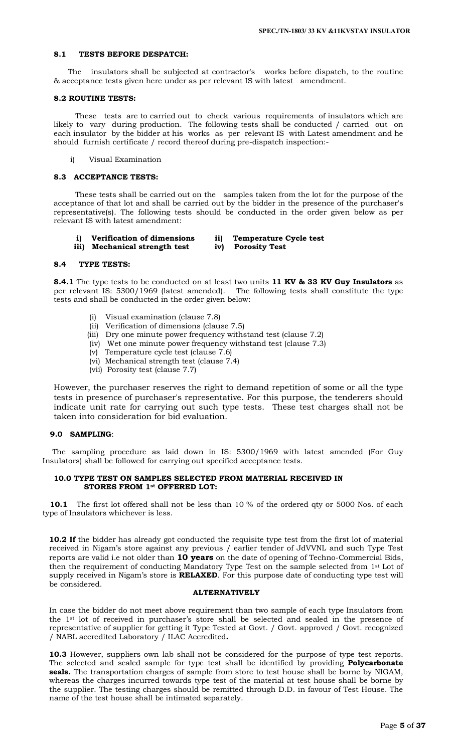### **8.1 TESTS BEFORE DESPATCH:**

 The insulators shall be subjected at contractor's works before dispatch, to the routine & acceptance tests given here under as per relevant IS with latest amendment.

### **8.2 ROUTINE TESTS:**

 These tests are to carried out to check various requirements of insulators which are likely to vary during production. The following tests shall be conducted / carried out on each insulator by the bidder at his works as per relevant IS with Latest amendment and he should furnish certificate / record thereof during pre-dispatch inspection:-

i) Visual Examination

### **8.3 ACCEPTANCE TESTS:**

 These tests shall be carried out on the samples taken from the lot for the purpose of the acceptance of that lot and shall be carried out by the bidder in the presence of the purchaser's representative(s). The following tests should be conducted in the order given below as per relevant IS with latest amendment:

 **i) Verification of dimensions ii) Temperature Cycle test** 

 **iii) Mechanical strength test iv) Porosity Test** 

# **8.4 TYPE TESTS:**

**8.4.1** The type tests to be conducted on at least two units **11 KV & 33 KV Guy Insulators** as per relevant IS: 5300/1969 (latest amended). The following tests shall constitute the type tests and shall be conducted in the order given below:

- Visual examination (clause 7.8)
- (ii) Verification of dimensions (clause 7.5)
- (iii) Dry one minute power frequency withstand test (clause 7.2)
- (iv) Wet one minute power frequency withstand test (clause 7.3)
- (v) Temperature cycle test (clause 7.6)
- (vi) Mechanical strength test (clause 7.4)
- (vii) Porosity test (clause 7.7)

However, the purchaser reserves the right to demand repetition of some or all the type tests in presence of purchaser's representative. For this purpose, the tenderers should indicate unit rate for carrying out such type tests. These test charges shall not be taken into consideration for bid evaluation.

### **9.0 SAMPLING**:

The sampling procedure as laid down in IS: 5300/1969 with latest amended (For Guy Insulators) shall be followed for carrying out specified acceptance tests.

### **10.0 TYPE TEST ON SAMPLES SELECTED FROM MATERIAL RECEIVED IN STORES FROM 1st OFFERED LOT:**

**10.1** The first lot offered shall not be less than 10 % of the ordered qty or 5000 Nos. of each type of Insulators whichever is less.

**10.2 If** the bidder has already got conducted the requisite type test from the first lot of material received in Nigam's store against any previous / earlier tender of JdVVNL and such Type Test reports are valid i.e not older than **10 years** on the date of opening of Techno-Commercial Bids, then the requirement of conducting Mandatory Type Test on the sample selected from 1st Lot of supply received in Nigam's store is **RELAXED**. For this purpose date of conducting type test will be considered.

### **ALTERNATIVELY**

In case the bidder do not meet above requirement than two sample of each type Insulators from the 1st lot of received in purchaser's store shall be selected and sealed in the presence of representative of supplier for getting it Type Tested at Govt. / Govt. approved / Govt. recognized / NABL accredited Laboratory / ILAC Accredited**.**

**10.3** However, suppliers own lab shall not be considered for the purpose of type test reports. The selected and sealed sample for type test shall be identified by providing **Polycarbonate**  seals. The transportation charges of sample from store to test house shall be borne by NIGAM, whereas the charges incurred towards type test of the material at test house shall be borne by the supplier. The testing charges should be remitted through D.D. in favour of Test House. The name of the test house shall be intimated separately.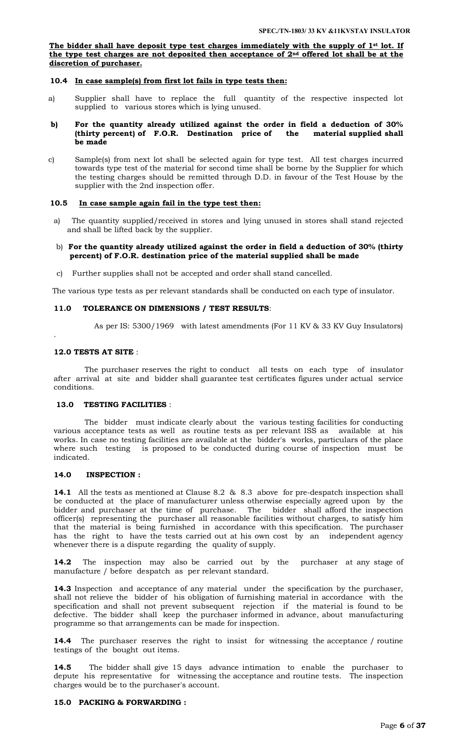**The bidder shall have deposit type test charges immediately with the supply of 1st lot. If the type test charges are not deposited then acceptance of 2nd offered lot shall be at the discretion of purchaser.**

### **10.4 In case sample(s) from first lot fails in type tests then:**

- a) Supplier shall have to replace the full quantity of the respective inspected lot supplied to various stores which is lying unused.
- **b) For the quantity already utilized against the order in field a deduction of 30%**  (thirty percent) of F.O.R. Destination price of the **be made**
- c) Sample(s) from next lot shall be selected again for type test. All test charges incurred towards type test of the material for second time shall be borne by the Supplier for which the testing charges should be remitted through D.D. in favour of the Test House by the supplier with the 2nd inspection offer.

### **10.5 In case sample again fail in the type test then:**

a) The quantity supplied/received in stores and lying unused in stores shall stand rejected and shall be lifted back by the supplier.

### b) **For the quantity already utilized against the order in field a deduction of 30% (thirty percent) of F.O.R. destination price of the material supplied shall be made**

c) Further supplies shall not be accepted and order shall stand cancelled.

The various type tests as per relevant standards shall be conducted on each type of insulator.

### **11.0 TOLERANCE ON DIMENSIONS / TEST RESULTS**:

As per IS: 5300/1969 with latest amendments (For 11 KV & 33 KV Guy Insulators)

### **12.0 TESTS AT SITE** :

.

 The purchaser reserves the right to conduct all tests on each type of insulator after arrival at site and bidder shall guarantee test certificates figures under actual service conditions.

### **13.0 TESTING FACILITIES** :

 The bidder must indicate clearly about the various testing facilities for conducting various acceptance tests as well as routine tests as per relevant ISS as available at his works. In case no testing facilities are available at the bidder's works, particulars of the place where such testing is proposed to be conducted during course of inspection must be indicated.

### **14.0 INSPECTION :**

**14.1** All the tests as mentioned at Clause 8.2 & 8.3 above for pre-despatch inspection shall be conducted at the place of manufacturer unless otherwise especially agreed upon by the bidder and purchaser at the time of purchase. The bidder shall afford the inspection officer(s) representing the purchaser all reasonable facilities without charges, to satisfy him that the material is being furnished in accordance with this specification. The purchaser has the right to have the tests carried out at his own cost by an independent agency whenever there is a dispute regarding the quality of supply.

**14.2** The inspection may also be carried out by the purchaser at any stage of manufacture / before despatch as per relevant standard.

**14.3** Inspection and acceptance of any material under the specification by the purchaser, shall not relieve the bidder of his obligation of furnishing material in accordance with the specification and shall not prevent subsequent rejection if the material is found to be defective. The bidder shall keep the purchaser informed in advance, about manufacturing programme so that arrangements can be made for inspection.

**14.4** The purchaser reserves the right to insist for witnessing the acceptance / routine testings of the bought out items.

**14.5** The bidder shall give 15 days advance intimation to enable the purchaser to depute his representative for witnessing the acceptance and routine tests. The inspection charges would be to the purchaser's account.

### **15.0 PACKING & FORWARDING :**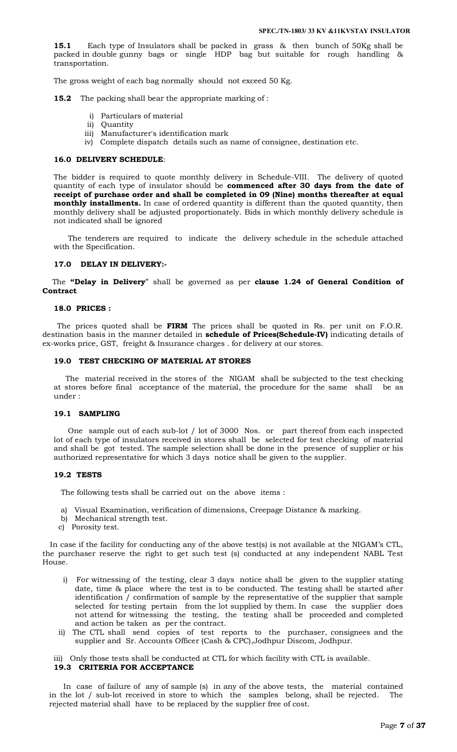**15.1** Each type of Insulators shall be packed in grass & then bunch of 50Kg shall be packed in double gunny bags or single HDP bag but suitable for rough handling & transportation.

The gross weight of each bag normally should not exceed 50 Kg.

**15.2** The packing shall bear the appropriate marking of :

- i) Particulars of material
- ii) Quantity
- iii) Manufacturer's identification mark
- iv) Complete dispatch details such as name of consignee, destination etc.

### **16.0 DELIVERY SCHEDULE**:

The bidder is required to quote monthly delivery in Schedule-VIII. The delivery of quoted quantity of each type of insulator should be **commenced after 30 days from the date of receipt of purchase order and shall be completed in 09 (Nine) months thereafter at equal monthly installments.** In case of ordered quantity is different than the quoted quantity, then monthly delivery shall be adjusted proportionately. Bids in which monthly delivery schedule is not indicated shall be ignored

 The tenderers are required to indicate the delivery schedule in the schedule attached with the Specification.

### **17.0 DELAY IN DELIVERY:-**

The **"Delay in Delivery**" shall be governed as per **clause 1.24 of General Condition of Contract**

### **18.0 PRICES :**

 The prices quoted shall be **FIRM** The prices shall be quoted in Rs. per unit on F.O.R. destination basis in the manner detailed in **schedule of Prices(Schedule-IV)** indicating details of ex-works price, GST, freight & Insurance charges . for delivery at our stores.

### **19.0 TEST CHECKING OF MATERIAL AT STORES**

 The material received in the stores of the NIGAM shall be subjected to the test checking at stores before final acceptance of the material, the procedure for the same shall be as under :

#### **19.1 SAMPLING**

 One sample out of each sub-lot / lot of 3000 Nos. or part thereof from each inspected lot of each type of insulators received in stores shall be selected for test checking of material and shall be got tested. The sample selection shall be done in the presence of supplier or his authorized representative for which 3 days notice shall be given to the supplier.

#### **19.2 TESTS**

The following tests shall be carried out on the above items :

- a) Visual Examination, verification of dimensions, Creepage Distance & marking.
- b) Mechanical strength test.
- c) Porosity test.

In case if the facility for conducting any of the above test(s) is not available at the NIGAM's CTL, the purchaser reserve the right to get such test (s) conducted at any independent NABL Test House.

- i) For witnessing of the testing, clear 3 days notice shall be given to the supplier stating date, time & place where the test is to be conducted. The testing shall be started after identification / confirmation of sample by the representative of the supplier that sample selected for testing pertain from the lot supplied by them. In case the supplier does not attend for witnessing the testing, the testing shall be proceeded and completed and action be taken as per the contract.
- ii) The CTL shall send copies of test reports to the purchaser, consignees and the supplier and Sr. Accounts Officer (Cash & CPC),Jodhpur Discom, Jodhpur.

iii) Only those tests shall be conducted at CTL for which facility with CTL is available.

### **19.3 CRITERIA FOR ACCEPTANCE**

 In case of failure of any of sample (s) in any of the above tests, the material contained in the lot / sub-lot received in store to which the samples belong, shall be rejected. The rejected material shall have to be replaced by the supplier free of cost.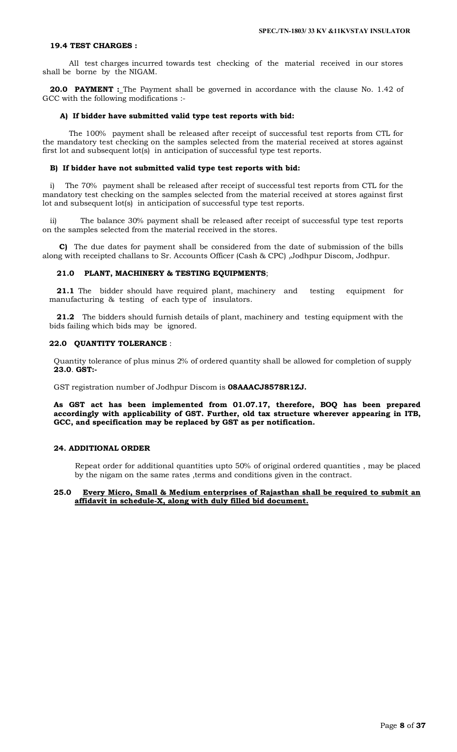#### **19.4 TEST CHARGES :**

 All test charges incurred towards test checking of the material received in our stores shall be borne by the NIGAM.

**20.0 PAYMENT :** The Payment shall be governed in accordance with the clause No. 1.42 of GCC with the following modifications :-

### **A) If bidder have submitted valid type test reports with bid:**

 The 100% payment shall be released after receipt of successful test reports from CTL for the mandatory test checking on the samples selected from the material received at stores against first lot and subsequent lot(s) in anticipation of successful type test reports.

### **B) If bidder have not submitted valid type test reports with bid:**

i) The 70% payment shall be released after receipt of successful test reports from CTL for the mandatory test checking on the samples selected from the material received at stores against first lot and subsequent lot(s) in anticipation of successful type test reports.

ii) The balance 30% payment shall be released after receipt of successful type test reports on the samples selected from the material received in the stores.

 **C)** The due dates for payment shall be considered from the date of submission of the bills along with receipted challans to Sr. Accounts Officer (Cash & CPC) ,Jodhpur Discom, Jodhpur.

### **21.0 PLANT, MACHINERY & TESTING EQUIPMENTS**;

**21.1** The bidder should have required plant, machinery and testing equipment for manufacturing & testing of each type of insulators.

**21.2** The bidders should furnish details of plant, machinery and testing equipment with the bids failing which bids may be ignored.

### **22.0 QUANTITY TOLERANCE** :

Quantity tolerance of plus minus 2% of ordered quantity shall be allowed for completion of supply **23.0**. **GST:-**

GST registration number of Jodhpur Discom is **08AAACJ8578R1ZJ.**

**As GST act has been implemented from 01.07.17, therefore, BOQ has been prepared accordingly with applicability of GST. Further, old tax structure wherever appearing in ITB, GCC, and specification may be replaced by GST as per notification.**

### **24. ADDITIONAL ORDER**

 Repeat order for additional quantities upto 50% of original ordered quantities , may be placed by the nigam on the same rates ,terms and conditions given in the contract.

### **25.0 Every Micro, Small & Medium enterprises of Rajasthan shall be required to submit an affidavit in schedule-X, along with duly filled bid document.**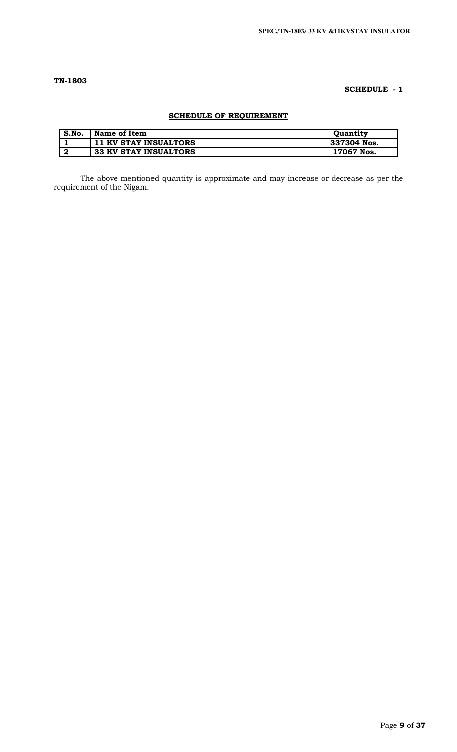# **TN-1803**

# **SCHEDULE - 1**

# **SCHEDULE OF REQUIREMENT**

| S.No. | Name of Item                 | <b>Ouantity</b> |
|-------|------------------------------|-----------------|
|       | <b>11 KV STAY INSUALTORS</b> | 337304 Nos.     |
|       | <b>33 KV STAY INSUALTORS</b> | 17067 Nos.      |

The above mentioned quantity is approximate and may increase or decrease as per the requirement of the Nigam.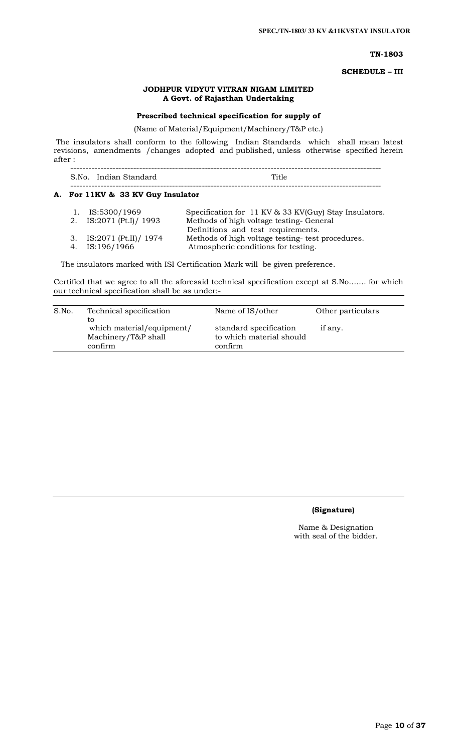### **TN-1803**

**SCHEDULE – III**

### **JODHPUR VIDYUT VITRAN NIGAM LIMITED A Govt. of Rajasthan Undertaking**

# **Prescribed technical specification for supply of**

(Name of Material/Equipment/Machinery/T&P etc.)

The insulators shall conform to the following Indian Standards which shall mean latest revisions, amendments /changes adopted and published, unless otherwise specified herein after :

 -------------------------------------------------------------------------------------------------------- S.No. Indian Standard Title --------------------------------------------------------------------------------------------------------

# **A. For 11KV & 33 KV Guy Insulator**

| 1. IS:5300/1969           | Specification for 11 KV & 33 KV(Guy) Stay Insulators. |
|---------------------------|-------------------------------------------------------|
| 2. IS:2071 (Pt.I) / 1993  | Methods of high voltage testing-General               |
|                           | Definitions and test requirements.                    |
| 3. IS:2071 (Pt.II) / 1974 | Methods of high voltage testing- test procedures.     |
| 4. IS:196/1966            | Atmospheric conditions for testing.                   |

The insulators marked with ISI Certification Mark will be given preference.

Certified that we agree to all the aforesaid technical specification except at S.No……. for which our technical specification shall be as under:-

| S.No. | Technical specification                                           | Name of IS/other                                              | Other particulars |  |
|-------|-------------------------------------------------------------------|---------------------------------------------------------------|-------------------|--|
|       | to<br>which material/equipment/<br>Machinery/T&P shall<br>confirm | standard specification<br>to which material should<br>confirm | if any.           |  |

# **(Signature)**

Name & Designation with seal of the bidder.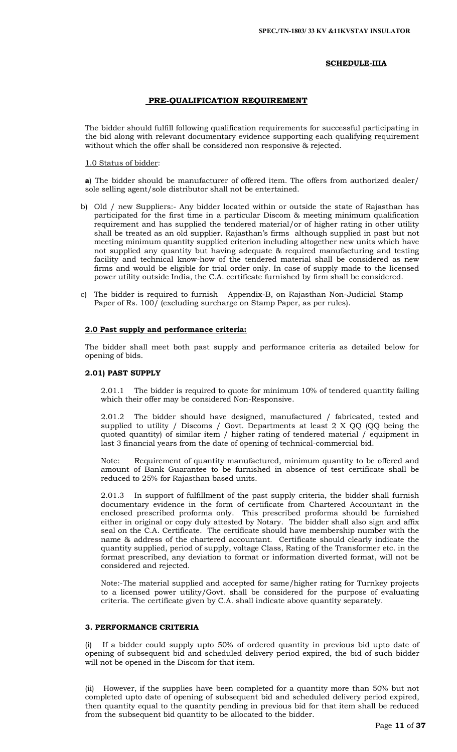### **SCHEDULE-IIIA**

### **PRE-QUALIFICATION REQUIREMENT**

The bidder should fulfill following qualification requirements for successful participating in the bid along with relevant documentary evidence supporting each qualifying requirement without which the offer shall be considered non responsive & rejected.

### 1.0 Status of bidder:

**a**) The bidder should be manufacturer of offered item. The offers from authorized dealer/ sole selling agent/sole distributor shall not be entertained.

- b) Old / new Suppliers:- Any bidder located within or outside the state of Rajasthan has participated for the first time in a particular Discom & meeting minimum qualification requirement and has supplied the tendered material/or of higher rating in other utility shall be treated as an old supplier. Rajasthan's firms although supplied in past but not meeting minimum quantity supplied criterion including altogether new units which have not supplied any quantity but having adequate & required manufacturing and testing facility and technical know-how of the tendered material shall be considered as new firms and would be eligible for trial order only. In case of supply made to the licensed power utility outside India, the C.A. certificate furnished by firm shall be considered.
- c) The bidder is required to furnish Appendix-B, on Rajasthan Non-Judicial Stamp Paper of Rs. 100/ (excluding surcharge on Stamp Paper, as per rules).

### **2.0 Past supply and performance criteria:**

The bidder shall meet both past supply and performance criteria as detailed below for opening of bids.

### **2.01) PAST SUPPLY**

2.01.1 The bidder is required to quote for minimum 10% of tendered quantity failing which their offer may be considered Non-Responsive.

2.01.2 The bidder should have designed, manufactured / fabricated, tested and supplied to utility / Discoms / Govt. Departments at least 2 X QQ (QQ being the quoted quantity) of similar item / higher rating of tendered material / equipment in last 3 financial years from the date of opening of technical-commercial bid.

Requirement of quantity manufactured, minimum quantity to be offered and amount of Bank Guarantee to be furnished in absence of test certificate shall be reduced to 25% for Rajasthan based units.

2.01.3 In support of fulfillment of the past supply criteria, the bidder shall furnish documentary evidence in the form of certificate from Chartered Accountant in the enclosed prescribed proforma only. This prescribed proforma should be furnished either in original or copy duly attested by Notary. The bidder shall also sign and affix seal on the C.A. Certificate. The certificate should have membership number with the name & address of the chartered accountant. Certificate should clearly indicate the quantity supplied, period of supply, voltage Class, Rating of the Transformer etc. in the format prescribed, any deviation to format or information diverted format, will not be considered and rejected.

Note:-The material supplied and accepted for same/higher rating for Turnkey projects to a licensed power utility/Govt. shall be considered for the purpose of evaluating criteria. The certificate given by C.A. shall indicate above quantity separately.

### **3. PERFORMANCE CRITERIA**

(i) If a bidder could supply upto 50% of ordered quantity in previous bid upto date of opening of subsequent bid and scheduled delivery period expired, the bid of such bidder will not be opened in the Discom for that item.

(ii) However, if the supplies have been completed for a quantity more than 50% but not completed upto date of opening of subsequent bid and scheduled delivery period expired, then quantity equal to the quantity pending in previous bid for that item shall be reduced from the subsequent bid quantity to be allocated to the bidder.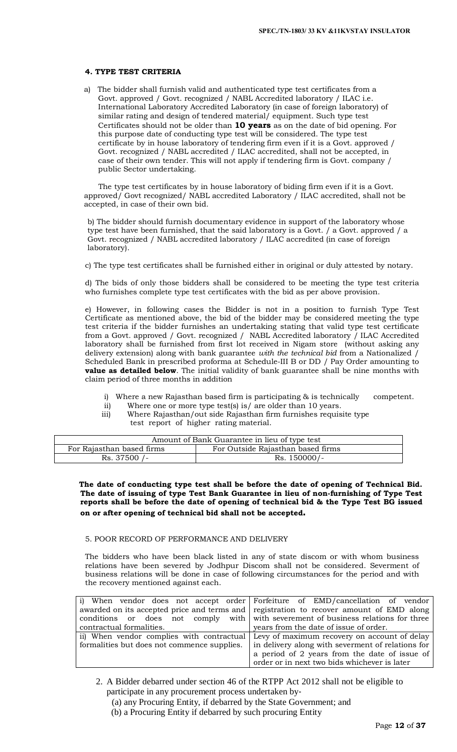### **4. TYPE TEST CRITERIA**

a) The bidder shall furnish valid and authenticated type test certificates from a Govt. approved / Govt. recognized / NABL Accredited laboratory / ILAC i.e. International Laboratory Accredited Laboratory (in case of foreign laboratory) of similar rating and design of tendered material/ equipment. Such type test Certificates should not be older than **10 years** as on the date of bid opening. For this purpose date of conducting type test will be considered. The type test certificate by in house laboratory of tendering firm even if it is a Govt. approved / Govt. recognized / NABL accredited / ILAC accredited, shall not be accepted, in case of their own tender. This will not apply if tendering firm is Govt. company / public Sector undertaking.

 The type test certificates by in house laboratory of biding firm even if it is a Govt. approved/ Govt recognized/ NABL accredited Laboratory / ILAC accredited, shall not be accepted, in case of their own bid.

b) The bidder should furnish documentary evidence in support of the laboratory whose type test have been furnished, that the said laboratory is a Govt. / a Govt. approved / a Govt. recognized / NABL accredited laboratory / ILAC accredited (in case of foreign laboratory).

c) The type test certificates shall be furnished either in original or duly attested by notary.

d) The bids of only those bidders shall be considered to be meeting the type test criteria who furnishes complete type test certificates with the bid as per above provision.

e) However, in following cases the Bidder is not in a position to furnish Type Test Certificate as mentioned above, the bid of the bidder may be considered meeting the type test criteria if the bidder furnishes an undertaking stating that valid type test certificate from a Govt. approved / Govt. recognized / NABL Accredited laboratory / ILAC Accredited laboratory shall be furnished from first lot received in Nigam store (without asking any delivery extension) along with bank guarantee *with the technical bid* from a Nationalized / Scheduled Bank in prescribed proforma at Schedule-III B or DD / Pay Order amounting to **value as detailed below**. The initial validity of bank guarantee shall be nine months with claim period of three months in addition

- i) Where a new Rajasthan based firm is participating & is technically competent.
- ii) Where one or more type test(s) is/ are older than 10 years.
- iii) Where Rajasthan/out side Rajasthan firm furnishes requisite type test report of higher rating material.

| Amount of Bank Guarantee in lieu of type test |                                   |  |
|-----------------------------------------------|-----------------------------------|--|
| For Rajasthan based firms                     | For Outside Rajasthan based firms |  |
| Rs. 37500 /-                                  | $Rs. 150000/-$                    |  |

 **The date of conducting type test shall be before the date of opening of Technical Bid. The date of issuing of type Test Bank Guarantee in lieu of non-furnishing of Type Test reports shall be before the date of opening of technical bid & the Type Test BG issued on or after opening of technical bid shall not be accepted.** 

### 5. POOR RECORD OF PERFORMANCE AND DELIVERY

The bidders who have been black listed in any of state discom or with whom business relations have been severed by Jodhpur Discom shall not be considered. Severment of business relations will be done in case of following circumstances for the period and with the recovery mentioned against each.

|                                             | i) When vendor does not accept order Forfeiture of EMD/cancellation of vendor           |
|---------------------------------------------|-----------------------------------------------------------------------------------------|
|                                             | awarded on its accepted price and terms and registration to recover amount of EMD along |
|                                             | conditions or does not comply with with severement of business relations for three      |
| contractual formalities.                    | years from the date of issue of order.                                                  |
|                                             | ii) When vendor complies with contractual Levy of maximum recovery on account of delay  |
| formalities but does not commence supplies. | in delivery along with severment of relations for                                       |
|                                             | a period of 2 years from the date of issue of                                           |
|                                             | order or in next two bids whichever is later                                            |

- 2. A Bidder debarred under section 46 of the RTPP Act 2012 shall not be eligible to participate in any procurement process undertaken by‐
	- (a) any Procuring Entity, if debarred by the State Government; and
	- (b) a Procuring Entity if debarred by such procuring Entity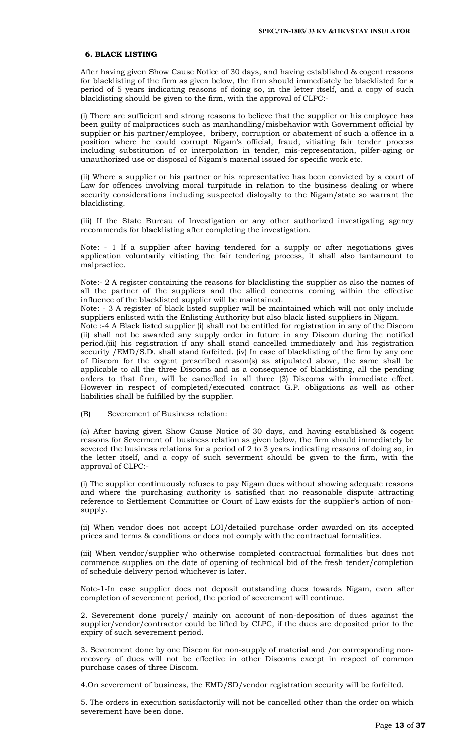### **6. BLACK LISTING**

After having given Show Cause Notice of 30 days, and having established & cogent reasons for blacklisting of the firm as given below, the firm should immediately be blacklisted for a period of 5 years indicating reasons of doing so, in the letter itself, and a copy of such blacklisting should be given to the firm, with the approval of CLPC:-

(i) There are sufficient and strong reasons to believe that the supplier or his employee has been guilty of malpractices such as manhandling/misbehavior with Government official by supplier or his partner/employee, bribery, corruption or abatement of such a offence in a position where he could corrupt Nigam's official, fraud, vitiating fair tender process including substitution of or interpolation in tender, mis-representation, pilfer-aging or unauthorized use or disposal of Nigam's material issued for specific work etc.

(ii) Where a supplier or his partner or his representative has been convicted by a court of Law for offences involving moral turpitude in relation to the business dealing or where security considerations including suspected disloyalty to the Nigam/state so warrant the blacklisting.

(iii) If the State Bureau of Investigation or any other authorized investigating agency recommends for blacklisting after completing the investigation.

Note: - 1 If a supplier after having tendered for a supply or after negotiations gives application voluntarily vitiating the fair tendering process, it shall also tantamount to malpractice.

Note:- 2 A register containing the reasons for blacklisting the supplier as also the names of all the partner of the suppliers and the allied concerns coming within the effective influence of the blacklisted supplier will be maintained.

Note: - 3 A register of black listed supplier will be maintained which will not only include suppliers enlisted with the Enlisting Authority but also black listed suppliers in Nigam.

Note :-4 A Black listed supplier (i) shall not be entitled for registration in any of the Discom (ii) shall not be awarded any supply order in future in any Discom during the notified period.(iii) his registration if any shall stand cancelled immediately and his registration security /EMD/S.D. shall stand forfeited. (iv) In case of blacklisting of the firm by any one of Discom for the cogent prescribed reason(s) as stipulated above, the same shall be applicable to all the three Discoms and as a consequence of blacklisting, all the pending orders to that firm, will be cancelled in all three (3) Discoms with immediate effect. However in respect of completed/executed contract G.P. obligations as well as other liabilities shall be fulfilled by the supplier.

(B) Severement of Business relation:

(a) After having given Show Cause Notice of 30 days, and having established & cogent reasons for Severment of business relation as given below, the firm should immediately be severed the business relations for a period of 2 to 3 years indicating reasons of doing so, in the letter itself, and a copy of such severment should be given to the firm, with the approval of CLPC:-

(i) The supplier continuously refuses to pay Nigam dues without showing adequate reasons and where the purchasing authority is satisfied that no reasonable dispute attracting reference to Settlement Committee or Court of Law exists for the supplier's action of nonsupply.

(ii) When vendor does not accept LOI/detailed purchase order awarded on its accepted prices and terms & conditions or does not comply with the contractual formalities.

(iii) When vendor/supplier who otherwise completed contractual formalities but does not commence supplies on the date of opening of technical bid of the fresh tender/completion of schedule delivery period whichever is later.

Note-1-In case supplier does not deposit outstanding dues towards Nigam, even after completion of severement period, the period of severement will continue.

2. Severement done purely/ mainly on account of non-deposition of dues against the supplier/vendor/contractor could be lifted by CLPC, if the dues are deposited prior to the expiry of such severement period.

3. Severement done by one Discom for non-supply of material and /or corresponding nonrecovery of dues will not be effective in other Discoms except in respect of common purchase cases of three Discom.

4.On severement of business, the EMD/SD/vendor registration security will be forfeited.

5. The orders in execution satisfactorily will not be cancelled other than the order on which severement have been done.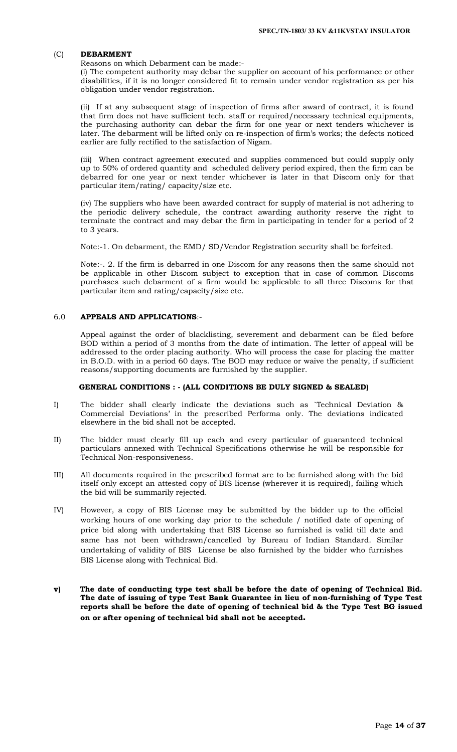### (C) **DEBARMENT**

Reasons on which Debarment can be made:-

(i) The competent authority may debar the supplier on account of his performance or other disabilities, if it is no longer considered fit to remain under vendor registration as per his obligation under vendor registration.

(ii) If at any subsequent stage of inspection of firms after award of contract, it is found that firm does not have sufficient tech. staff or required/necessary technical equipments, the purchasing authority can debar the firm for one year or next tenders whichever is later. The debarment will be lifted only on re-inspection of firm's works; the defects noticed earlier are fully rectified to the satisfaction of Nigam.

(iii) When contract agreement executed and supplies commenced but could supply only up to 50% of ordered quantity and scheduled delivery period expired, then the firm can be debarred for one year or next tender whichever is later in that Discom only for that particular item/rating/ capacity/size etc.

(iv) The suppliers who have been awarded contract for supply of material is not adhering to the periodic delivery schedule, the contract awarding authority reserve the right to terminate the contract and may debar the firm in participating in tender for a period of 2 to 3 years.

Note:-1. On debarment, the EMD/ SD/Vendor Registration security shall be forfeited.

Note:-. 2. If the firm is debarred in one Discom for any reasons then the same should not be applicable in other Discom subject to exception that in case of common Discoms purchases such debarment of a firm would be applicable to all three Discoms for that particular item and rating/capacity/size etc.

### 6.0 **APPEALS AND APPLICATIONS**:-

Appeal against the order of blacklisting, severement and debarment can be filed before BOD within a period of 3 months from the date of intimation. The letter of appeal will be addressed to the order placing authority. Who will process the case for placing the matter in B.O.D. with in a period 60 days. The BOD may reduce or waive the penalty, if sufficient reasons/supporting documents are furnished by the supplier.

#### **GENERAL CONDITIONS : - (ALL CONDITIONS BE DULY SIGNED & SEALED)**

- I) The bidder shall clearly indicate the deviations such as `Technical Deviation & Commercial Deviations' in the prescribed Performa only. The deviations indicated elsewhere in the bid shall not be accepted.
- II) The bidder must clearly fill up each and every particular of guaranteed technical particulars annexed with Technical Specifications otherwise he will be responsible for Technical Non-responsiveness.
- III) All documents required in the prescribed format are to be furnished along with the bid itself only except an attested copy of BIS license (wherever it is required), failing which the bid will be summarily rejected.
- IV) However, a copy of BIS License may be submitted by the bidder up to the official working hours of one working day prior to the schedule / notified date of opening of price bid along with undertaking that BIS License so furnished is valid till date and same has not been withdrawn/cancelled by Bureau of Indian Standard. Similar undertaking of validity of BIS License be also furnished by the bidder who furnishes BIS License along with Technical Bid.
- **v) The date of conducting type test shall be before the date of opening of Technical Bid. The date of issuing of type Test Bank Guarantee in lieu of non-furnishing of Type Test reports shall be before the date of opening of technical bid & the Type Test BG issued on or after opening of technical bid shall not be accepted.**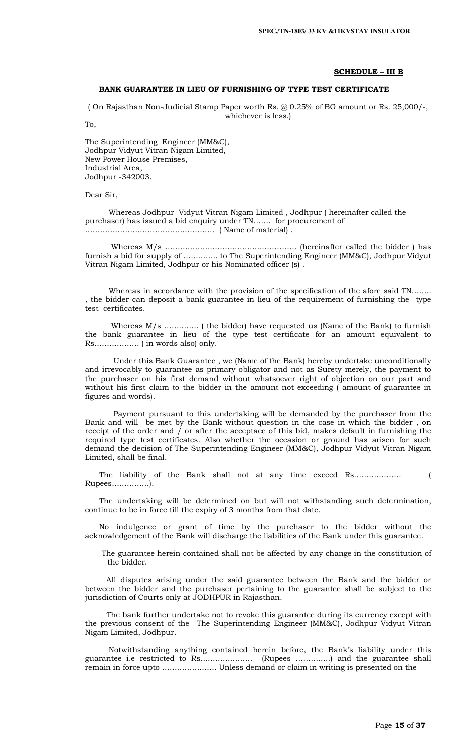#### **SCHEDULE – III B**

# **BANK GUARANTEE IN LIEU OF FURNISHING OF TYPE TEST CERTIFICATE**

( On Rajasthan Non-Judicial Stamp Paper worth Rs. @ 0.25% of BG amount or Rs. 25,000/-, whichever is less.)

To,

The Superintending Engineer (MM&C), Jodhpur Vidyut Vitran Nigam Limited, New Power House Premises, Industrial Area, Jodhpur -342003.

Dear Sir,

 Whereas Jodhpur Vidyut Vitran Nigam Limited , Jodhpur ( hereinafter called the purchaser) has issued a bid enquiry under TN……. for procurement of ……………………………………………. ( Name of material) .

 Whereas M/s …………………………………………….. (hereinafter called the bidder ) has furnish a bid for supply of ………….. to The Superintending Engineer (MM&C), Jodhpur Vidyut Vitran Nigam Limited, Jodhpur or his Nominated officer (s) .

 Whereas in accordance with the provision of the specification of the afore said TN…….. , the bidder can deposit a bank guarantee in lieu of the requirement of furnishing the type test certificates.

Whereas M/s .............. (the bidder) have requested us (Name of the Bank) to furnish the bank guarantee in lieu of the type test certificate for an amount equivalent to Rs……………… ( in words also) only.

 Under this Bank Guarantee , we (Name of the Bank) hereby undertake unconditionally and irrevocably to guarantee as primary obligator and not as Surety merely, the payment to the purchaser on his first demand without whatsoever right of objection on our part and without his first claim to the bidder in the amount not exceeding ( amount of guarantee in figures and words).

 Payment pursuant to this undertaking will be demanded by the purchaser from the Bank and will be met by the Bank without question in the case in which the bidder , on receipt of the order and  $\overline{I}$  or after the acceptace of this bid, makes default in furnishing the required type test certificates. Also whether the occasion or ground has arisen for such demand the decision of The Superintending Engineer (MM&C), Jodhpur Vidyut Vitran Nigam Limited, shall be final.

 The liability of the Bank shall not at any time exceed Rs………………. ( Rupees……………).

 The undertaking will be determined on but will not withstanding such determination, continue to be in force till the expiry of 3 months from that date.

 No indulgence or grant of time by the purchaser to the bidder without the acknowledgement of the Bank will discharge the liabilities of the Bank under this guarantee.

 The guarantee herein contained shall not be affected by any change in the constitution of the bidder.

 All disputes arising under the said guarantee between the Bank and the bidder or between the bidder and the purchaser pertaining to the guarantee shall be subject to the jurisdiction of Courts only at JODHPUR in Rajasthan.

 The bank further undertake not to revoke this guarantee during its currency except with the previous consent of the The Superintending Engineer (MM&C), Jodhpur Vidyut Vitran Nigam Limited, Jodhpur.

 Notwithstanding anything contained herein before, the Bank's liability under this guarantee i.e restricted to Rs………………… (Rupees …………..) and the guarantee shall remain in force upto …………………. Unless demand or claim in writing is presented on the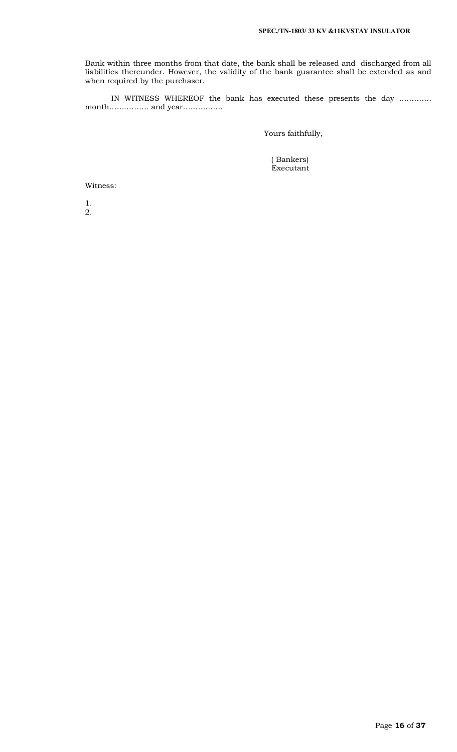Bank within three months from that date, the bank shall be released and discharged from all liabilities thereunder. However, the validity of the bank guarantee shall be extended as and when required by the purchaser.

 IN WITNESS WHEREOF the bank has executed these presents the day …………. month……………. and year…………….

Yours faithfully,

 ( Bankers) Executant

Witness:

1. 2.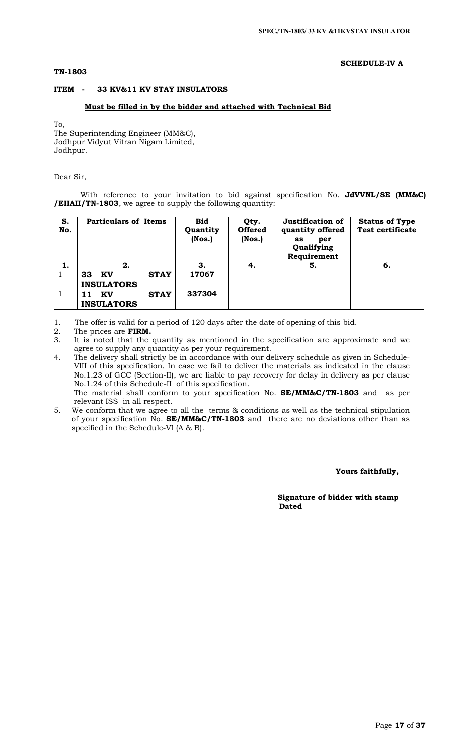# **TN-1803**

### **SCHEDULE-IV A**

# **ITEM - 33 KV&11 KV STAY INSULATORS**

### **Must be filled in by the bidder and attached with Technical Bid**

To,

The Superintending Engineer (MM&C), Jodhpur Vidyut Vitran Nigam Limited, Jodhpur.

Dear Sir,

With reference to your invitation to bid against specification No. **JdVVNL/SE (MM&C) /EIIAII/TN-1803**, we agree to supply the following quantity:

| S.<br>No. | <b>Particulars of Items</b>                  | <b>Bid</b><br>Quantity<br>( Nos.) | Qty.<br><b>Offered</b><br>( Nos.) | Justification of<br>quantity offered<br>per<br>as<br>Qualifying<br>Requirement | <b>Status of Type</b><br><b>Test certificate</b> |
|-----------|----------------------------------------------|-----------------------------------|-----------------------------------|--------------------------------------------------------------------------------|--------------------------------------------------|
| 1.        | 2.                                           | З.                                | 4.                                | 5.                                                                             | 6.                                               |
|           | <b>STAY</b><br>33<br>KV<br><b>INSULATORS</b> | 17067                             |                                   |                                                                                |                                                  |
|           | <b>STAY</b><br>KV<br><b>INSULATORS</b>       | 337304                            |                                   |                                                                                |                                                  |

1. The offer is valid for a period of 120 days after the date of opening of this bid.

- 2. The prices are **FIRM.**<br>3. It is noted that the
- It is noted that the quantity as mentioned in the specification are approximate and we agree to supply any quantity as per your requirement.
- 4. The delivery shall strictly be in accordance with our delivery schedule as given in Schedule-VIII of this specification. In case we fail to deliver the materials as indicated in the clause No.1.23 of GCC (Section-II), we are liable to pay recovery for delay in delivery as per clause No.1.24 of this Schedule-II of this specification. The material shall conform to your specification No. **SE/MM&C/TN-1803** and as per relevant ISS in all respect.
- 5. We conform that we agree to all the terms & conditions as well as the technical stipulation of your specification No. **SE/MM&C/TN-1803** and there are no deviations other than as specified in the Schedule-VI (A & B).

 **Yours faithfully,** 

 **Signature of bidder with stamp**  *Dated* **Dated**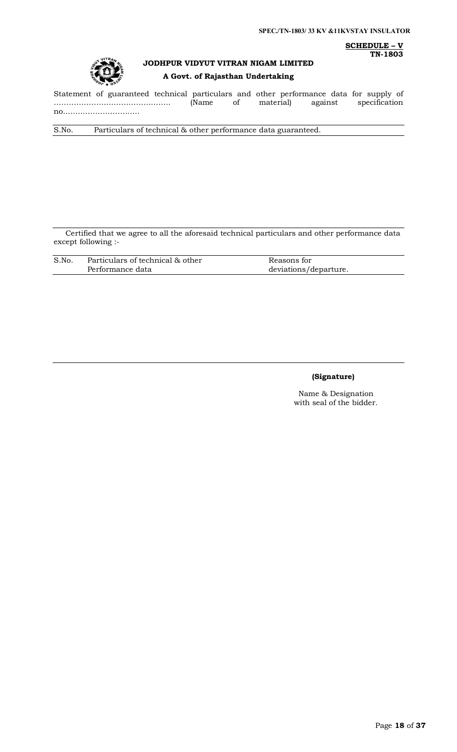**SCHEDULE – V TN-1803**



# **JODHPUR VIDYUT VITRAN NIGAM LIMITED A Govt. of Rajasthan Undertaking**

Statement of guaranteed technical particulars and other performance data for supply of ……………………………………….. (Name of material) against specification no..………………………..

S.No. Particulars of technical & other performance data guaranteed.

Certified that we agree to all the aforesaid technical particulars and other performance data except following :-

| S.No. | Particulars of technical & other | Reasons for           |
|-------|----------------------------------|-----------------------|
|       | Performance data                 | deviations/departure. |

### **(Signature)**

Name & Designation with seal of the bidder.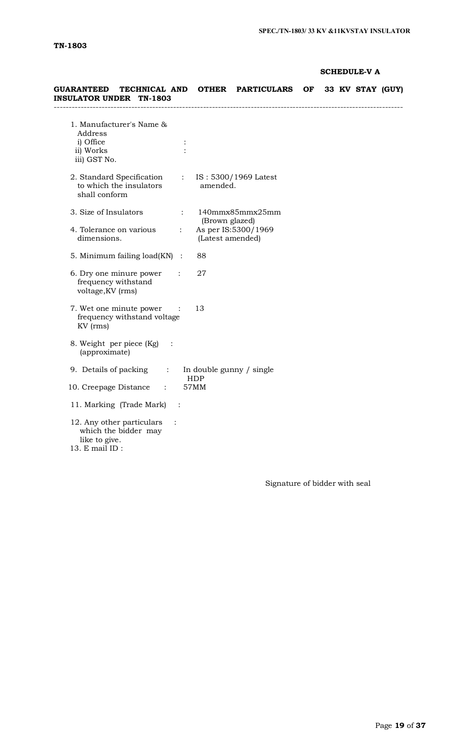# **SCHEDULE-V A**

| GUARANTEED TECHNICAL AND<br><b>INSULATOR UNDER TN-1803</b>                                             |                                    | OTHER PARTICULARS OF 33 KV STAY (GUY) |  |  |  |
|--------------------------------------------------------------------------------------------------------|------------------------------------|---------------------------------------|--|--|--|
| 1. Manufacturer's Name &<br>Address<br>i) Office<br>ii) Works<br>iii) GST No.                          |                                    |                                       |  |  |  |
| 2. Standard Specification : IS: 5300/1969 Latest<br>to which the insulators<br>shall conform           | amended.                           |                                       |  |  |  |
| 3. Size of Insulators                                                                                  |                                    | $140$ mmx $85$ mmx $25$ mm            |  |  |  |
| 4. Tolerance on various<br>$\ddot{\cdot}$<br>dimensions.                                               | (Brown glazed)<br>(Latest amended) | As per IS:5300/1969                   |  |  |  |
| 5. Minimum failing $load(KN)$ :                                                                        | 88                                 |                                       |  |  |  |
| 6. Dry one minure power<br>$\ddot{\cdot}$<br>frequency withstand<br>voltage, KV (rms)                  | 27                                 |                                       |  |  |  |
| 7. Wet one minute power :<br>frequency withstand voltage<br>KV (rms)                                   | 13                                 |                                       |  |  |  |
| 8. Weight per piece (Kg) :<br>(approximate)                                                            |                                    |                                       |  |  |  |
| 9. Details of packing : In double gunny / single                                                       |                                    |                                       |  |  |  |
| 10. Creepage Distance :                                                                                | HDP<br>57MM                        |                                       |  |  |  |
| 11. Marking (Trade Mark)<br>$\ddot{\phantom{1}}$                                                       |                                    |                                       |  |  |  |
| 12. Any other particulars<br>$\ddot{\cdot}$<br>which the bidder may<br>like to give.<br>13. E mail ID: |                                    |                                       |  |  |  |

Signature of bidder with seal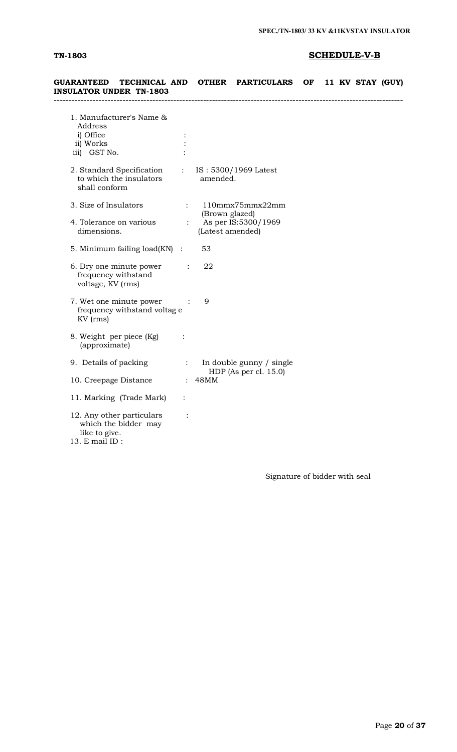# **TN-1803 SCHEDULE-V-B**

| TECHNICAL AND<br><b>GUARANTEED</b><br>INSULATOR UNDER TN-1803                        |                  | <b>OTHER</b>                       | <b>PARTICULARS</b>                                   | OF. |  | 11 KV STAY (GUY) |  |
|--------------------------------------------------------------------------------------|------------------|------------------------------------|------------------------------------------------------|-----|--|------------------|--|
| 1. Manufacturer's Name &<br>Address<br>i) Office<br>ii) Works<br>iii) GST No.        |                  |                                    |                                                      |     |  |                  |  |
| 2. Standard Specification<br>to which the insulators<br>shall conform                | $\frac{1}{2}$ .  | amended.                           | IS: 5300/1969 Latest                                 |     |  |                  |  |
| 3. Size of Insulators<br>4. Tolerance on various<br>dimensions.                      | $\mathbb{R}^{n}$ | (Brown glazed)<br>(Latest amended) | $110$ mmx $75$ mmx $22$ mm<br>As per IS:5300/1969    |     |  |                  |  |
| 5. Minimum failing $load(KN)$ :                                                      |                  | 53                                 |                                                      |     |  |                  |  |
| 6. Dry one minute power<br>frequency withstand<br>voltage, KV (rms)                  | $\ddot{\cdot}$   | 22                                 |                                                      |     |  |                  |  |
| 7. Wet one minute power<br>frequency withstand voltage<br>KV (rms)                   |                  | 9                                  |                                                      |     |  |                  |  |
| 8. Weight per piece (Kg)<br>(approximate)                                            | $\ddot{\cdot}$   |                                    |                                                      |     |  |                  |  |
| 9. Details of packing                                                                | $\mathcal{L}$    |                                    | In double gunny / single<br>HDP (As per cl. $15.0$ ) |     |  |                  |  |
| 10. Creepage Distance                                                                |                  | : 48MM                             |                                                      |     |  |                  |  |
| 11. Marking (Trade Mark)                                                             | $\ddot{\cdot}$   |                                    |                                                      |     |  |                  |  |
| 12. Any other particulars<br>which the bidder may<br>like to give.<br>13. E mail ID: | $\ddot{\cdot}$   |                                    |                                                      |     |  |                  |  |

Signature of bidder with seal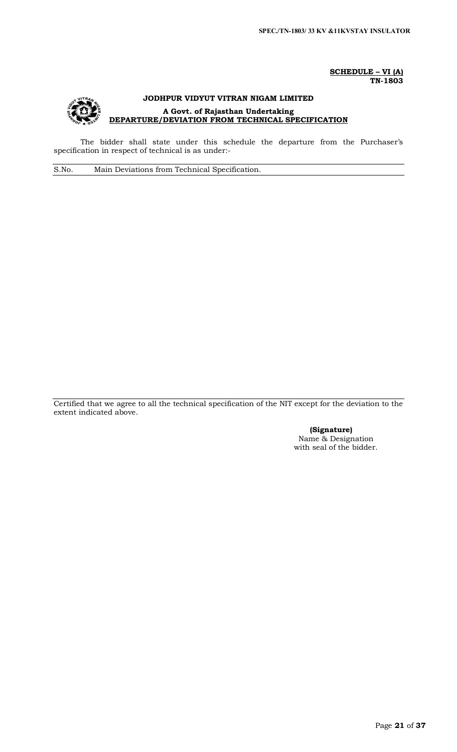### **SCHEDULE – VI (A) TN-1803**



The bidder shall state under this schedule the departure from the Purchaser's specification in respect of technical is as under:-

S.No. Main Deviations from Technical Specification.

Certified that we agree to all the technical specification of the NIT except for the deviation to the extent indicated above.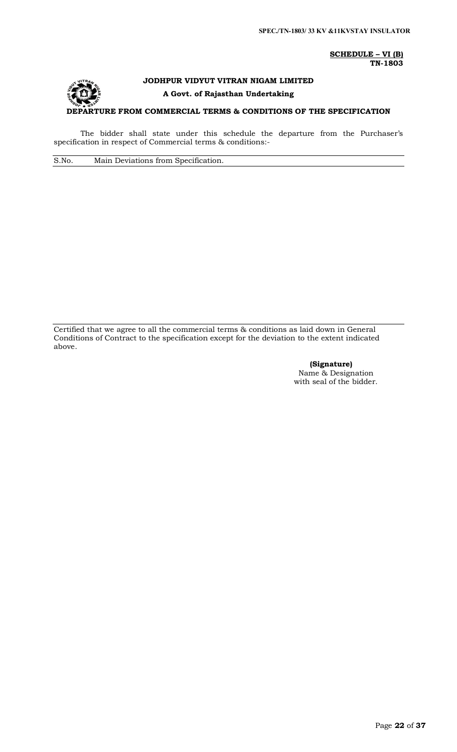**SCHEDULE – VI (B) TN-1803**

# **JODHPUR VIDYUT VITRAN NIGAM LIMITED A Govt. of Rajasthan Undertaking**

**DEPARTURE FROM COMMERCIAL TERMS & CONDITIONS OF THE SPECIFICATION**

The bidder shall state under this schedule the departure from the Purchaser's specification in respect of Commercial terms & conditions:-

S.No. Main Deviations from Specification.

Certified that we agree to all the commercial terms & conditions as laid down in General Conditions of Contract to the specification except for the deviation to the extent indicated above.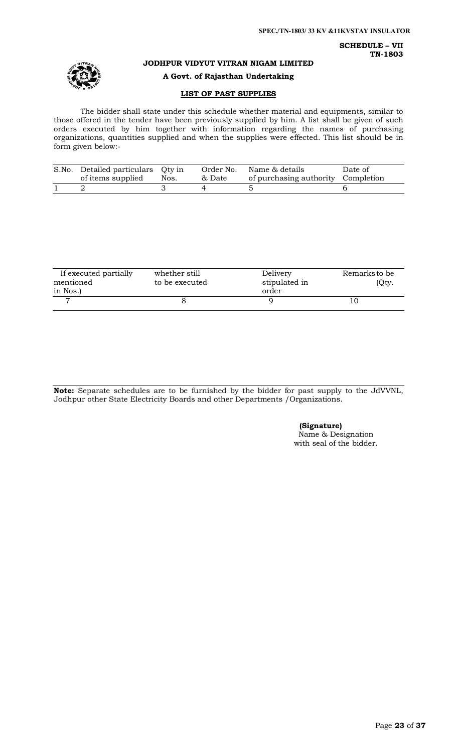**SCHEDULE – VII TN-1803**



**JODHPUR VIDYUT VITRAN NIGAM LIMITED**

**A Govt. of Rajasthan Undertaking**

### **LIST OF PAST SUPPLIES**

The bidder shall state under this schedule whether material and equipments, similar to those offered in the tender have been previously supplied by him. A list shall be given of such orders executed by him together with information regarding the names of purchasing organizations, quantities supplied and when the supplies were effected. This list should be in form given below:-

| S.No. Detailed particulars Qty in<br>of items supplied | Nos. | & Date | Order No. Name & details<br>of purchasing authority Completion | Date of |
|--------------------------------------------------------|------|--------|----------------------------------------------------------------|---------|
|                                                        |      |        |                                                                |         |

| If executed partially | whether still  | Delivery      | Remarks to be |
|-----------------------|----------------|---------------|---------------|
| mentioned             | to be executed | stipulated in | (Qty.         |
| in Nos.)              |                | order         |               |
|                       |                |               |               |
|                       |                |               |               |

**Note:** Separate schedules are to be furnished by the bidder for past supply to the JdVVNL, Jodhpur other State Electricity Boards and other Departments /Organizations.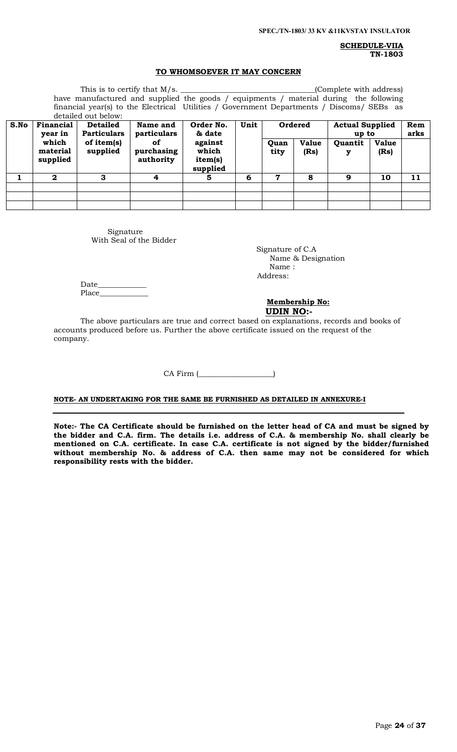**SCHEDULE-VIIA TN-1803**

### **TO WHOMSOEVER IT MAY CONCERN**

|      | (Complete with address)<br>have manufactured and supplied the goods / equipments / material during the following<br>financial year(s) to the Electrical Utilities / Government Departments / Discoms/ SEBs as<br>detailed out below: |                                       |                               |                                         |      |                     |                      |                                 |                      |             |
|------|--------------------------------------------------------------------------------------------------------------------------------------------------------------------------------------------------------------------------------------|---------------------------------------|-------------------------------|-----------------------------------------|------|---------------------|----------------------|---------------------------------|----------------------|-------------|
| S.No | Financial<br>year in                                                                                                                                                                                                                 | <b>Detailed</b><br><b>Particulars</b> | Name and<br>particulars       | Order No.<br>& date                     | Unit |                     | Ordered              | <b>Actual Supplied</b><br>up to |                      | Rem<br>arks |
|      | which<br>material<br>supplied                                                                                                                                                                                                        | of item(s)<br>supplied                | of<br>purchasing<br>authority | against<br>which<br>item(s)<br>supplied |      | <b>Ouan</b><br>tity | <b>Value</b><br>(Rs) | <b>Ouantit</b><br>у             | <b>Value</b><br>(Rs) |             |
|      | $\mathbf{2}$                                                                                                                                                                                                                         | 3                                     | 4                             | 5                                       | 6    | 7                   | 8                    | 9                               | 10                   | 11          |
|      |                                                                                                                                                                                                                                      |                                       |                               |                                         |      |                     |                      |                                 |                      |             |
|      |                                                                                                                                                                                                                                      |                                       |                               |                                         |      |                     |                      |                                 |                      |             |
|      |                                                                                                                                                                                                                                      |                                       |                               |                                         |      |                     |                      |                                 |                      |             |

Signature With Seal of the Bidder

 Signature of C.A Name & Designation Name : Address:

Date\_ Place\_\_\_

### **Membership No: UDIN NO:-**

The above particulars are true and correct based on explanations, records and books of accounts produced before us. Further the above certificate issued on the request of the company.

CA Firm (\_\_\_\_\_\_\_\_\_\_\_\_\_\_\_\_\_\_\_\_)

# **NOTE- AN UNDERTAKING FOR THE SAME BE FURNISHED AS DETAILED IN ANNEXURE-I**

**Note:- The CA Certificate should be furnished on the letter head of CA and must be signed by the bidder and C.A. firm. The details i.e. address of C.A. & membership No. shall clearly be mentioned on C.A. certificate. In case C.A. certificate is not signed by the bidder/furnished without membership No. & address of C.A. then same may not be considered for which responsibility rests with the bidder.**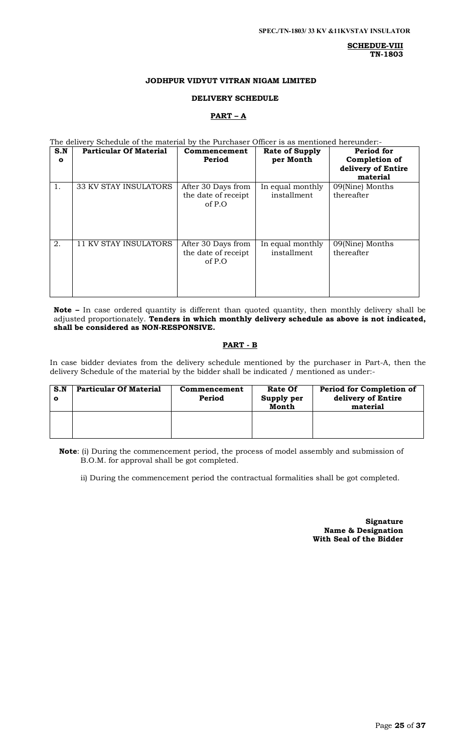**SCHEDUE-VIII TN-1803**

### **JODHPUR VIDYUT VITRAN NIGAM LIMITED**

### **DELIVERY SCHEDULE**

# **PART – A**

The delivery Schedule of the material by the Purchaser Officer is as mentioned hereunder:-

| S.N<br>$\mathbf{o}$ | <b>Particular Of Material</b> | Commencement<br>Period                              | <b>Rate of Supply</b><br>per Month | Period for<br>Completion of<br>delivery of Entire<br>material |
|---------------------|-------------------------------|-----------------------------------------------------|------------------------------------|---------------------------------------------------------------|
| 1.                  | <b>33 KV STAY INSULATORS</b>  | After 30 Days from<br>the date of receipt<br>of P.O | In equal monthly<br>installment    | 09(Nine) Months<br>thereafter                                 |
| 2.                  | <b>11 KV STAY INSULATORS</b>  | After 30 Days from<br>the date of receipt<br>of P.O | In equal monthly<br>installment    | 09(Nine) Months<br>thereafter                                 |

**Note –** In case ordered quantity is different than quoted quantity, then monthly delivery shall be adjusted proportionately. **Tenders in which monthly delivery schedule as above is not indicated, shall be considered as NON-RESPONSIVE.**

### **PART - B**

In case bidder deviates from the delivery schedule mentioned by the purchaser in Part-A, then the delivery Schedule of the material by the bidder shall be indicated / mentioned as under:-

| S.N | <b>Particular Of Material</b> | Commencement<br>Period | <b>Rate Of</b><br>Supply per<br>Month | Period for Completion of<br>delivery of Entire<br>material |
|-----|-------------------------------|------------------------|---------------------------------------|------------------------------------------------------------|
|     |                               |                        |                                       |                                                            |

**Note**: (i) During the commencement period, the process of model assembly and submission of B.O.M. for approval shall be got completed.

ii) During the commencement period the contractual formalities shall be got completed.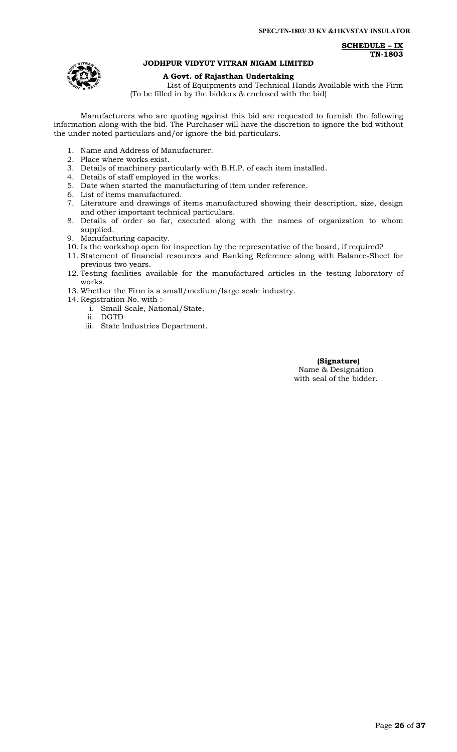**SCHEDULE – IX TN-1803**



### **JODHPUR VIDYUT VITRAN NIGAM LIMITED**

### **A Govt. of Rajasthan Undertaking**

List of Equipments and Technical Hands Available with the Firm (To be filled in by the bidders & enclosed with the bid)

Manufacturers who are quoting against this bid are requested to furnish the following information along-with the bid. The Purchaser will have the discretion to ignore the bid without the under noted particulars and/or ignore the bid particulars.

- 1. Name and Address of Manufacturer.
- 2. Place where works exist.
- 3. Details of machinery particularly with B.H.P. of each item installed.
- 4. Details of staff employed in the works.
- 5. Date when started the manufacturing of item under reference.
- 6. List of items manufactured.
- 7. Literature and drawings of items manufactured showing their description, size, design and other important technical particulars.
- 8. Details of order so far, executed along with the names of organization to whom supplied.
- 9. Manufacturing capacity.
- 10. Is the workshop open for inspection by the representative of the board, if required?
- 11. Statement of financial resources and Banking Reference along with Balance-Sheet for previous two years.
- 12. Testing facilities available for the manufactured articles in the testing laboratory of works.
- 13. Whether the Firm is a small/medium/large scale industry.
- 14. Registration No. with :
	- i. Small Scale, National/State.
		- ii. DGTD
	- iii. State Industries Department.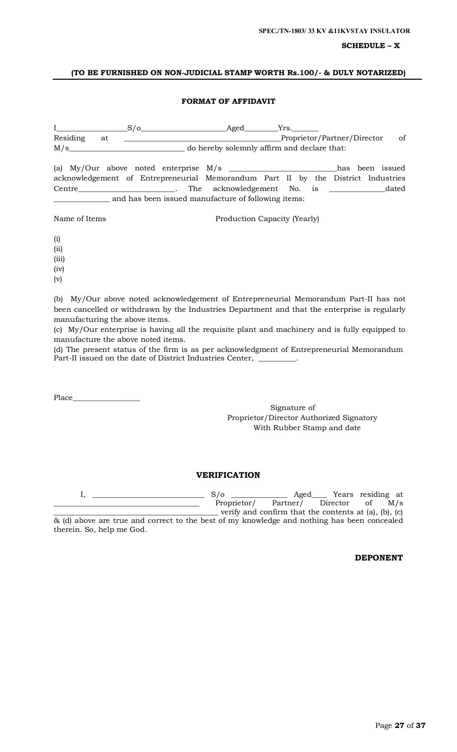### **SCHEDULE – X**

### **(TO BE FURNISHED ON NON-JUDICIAL STAMP WORTH Rs.100/- & DULY NOTARIZED)**

### **FORMAT OF AFFIDAVIT**

| $\mathbf{I}$ and $\mathbf{I}$ and $\mathbf{I}$ and $\mathbf{I}$ | $S/O$ Aged $Yrs$ .                                                                       |                                             |  |    |
|-----------------------------------------------------------------|------------------------------------------------------------------------------------------|---------------------------------------------|--|----|
| Residing at                                                     |                                                                                          | Proprietor/Partner/Director                 |  | of |
| M/s                                                             |                                                                                          | do hereby solemnly affirm and declare that: |  |    |
|                                                                 | (a) My/Our above noted enterprise $M/s$ _________________________________has been issued |                                             |  |    |
|                                                                 | acknowledgement of Entrepreneurial Memorandum Part II by the District Industries         |                                             |  |    |
|                                                                 | Centre dated The acknowledgement No. is dated                                            |                                             |  |    |
|                                                                 | and has been issued manufacture of following items:                                      |                                             |  |    |
| Name of Items                                                   |                                                                                          | Production Capacity (Yearly)                |  |    |
| (i)                                                             |                                                                                          |                                             |  |    |

(ii)

(iii)

(iv)

(v)

(b) My/Our above noted acknowledgement of Entrepreneurial Memorandum Part-II has not been cancelled or withdrawn by the Industries Department and that the enterprise is regularly manufacturing the above items.

(c) My/Our enterprise is having all the requisite plant and machinery and is fully equipped to manufacture the above noted items.

(d) The present status of the firm is as per acknowledgment of Entrepreneurial Memorandum Part-II issued on the date of District Industries Center,

Place\_\_\_\_

therein. So, help me God.

Signature of Proprietor/Director Authorized Signatory With Rubber Stamp and date

### **VERIFICATION**

I, \_\_\_\_\_\_\_\_\_\_\_\_\_\_\_\_\_\_\_\_\_\_\_\_\_\_\_\_\_\_ S/o \_\_\_\_\_\_\_\_\_\_\_\_\_\_\_ Aged\_\_\_\_ Years residing at Proprietor/ Partner/ Director of M/s verify and confirm that the contents at  $(a)$ ,  $(b)$ ,  $(c)$ & (d) above are true and correct to the best of my knowledge and nothing has been concealed

**DEPONENT**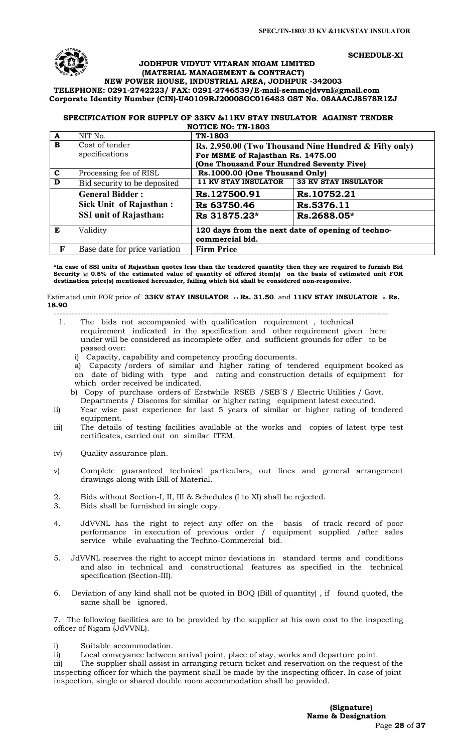**SCHEDULE-XI**

## **JODHPUR VIDYUT VITARAN NIGAM LIMITED (MATERIAL MANAGEMENT & CONTRACT) NEW POWER HOUSE, INDUSTRIAL AREA, JODHPUR -342003**

# **TELEPHONE: 0291-2742223/ FAX: 0291-2746539/E-mail-[semmcjdvvnl@gmail.com](mailto:semmcjdvvnl@gmail.com) Corporate Identity Number (CIN)-U40109RJ2000SGC016483 GST No. 08AAACJ8578R1ZJ**

#### **SPECIFICATION FOR SUPPLY OF 33KV &11KV STAY INSULATOR AGAINST TENDER NOTICE NO: TN-1803**

| A            | NIT No.                       | TN-1803                                                              |                                                       |  |  |  |
|--------------|-------------------------------|----------------------------------------------------------------------|-------------------------------------------------------|--|--|--|
| B            | Cost of tender                |                                                                      | Rs. 2,950.00 (Two Thousand Nine Hundred & Fifty only) |  |  |  |
|              | specifications                | For MSME of Rajasthan Rs. 1475.00                                    |                                                       |  |  |  |
|              |                               | (One Thousand Four Hundred Seventy Five)                             |                                                       |  |  |  |
| $\mathbf{C}$ | Processing fee of RISL        | Rs.1000.00 (One Thousand Only)                                       |                                                       |  |  |  |
| D            | Bid security to be deposited  | <b>11 KV STAY INSULATOR</b>                                          | <b>33 KV STAY INSULATOR</b>                           |  |  |  |
|              | <b>General Bidder:</b>        | Rs.127500.91                                                         | Rs.10752.21                                           |  |  |  |
|              | Sick Unit of Rajasthan:       | Rs 63750.46                                                          | Rs.5376.11                                            |  |  |  |
|              | <b>SSI unit of Rajasthan:</b> | Rs 31875.23*                                                         | Rs.2688.05*                                           |  |  |  |
| E            | Validity                      | 120 days from the next date of opening of techno-<br>commercial bid. |                                                       |  |  |  |
| F            | Base date for price variation | <b>Firm Price</b>                                                    |                                                       |  |  |  |

**\*In case of SSI units of Rajasthan quotes less than the tendered quantity then they are required to furnish Bid Security @ 0.5% of the estimated value of quantity of offered item(s) on the basis of estimated unit FOR destination price(s) mentioned hereunder, failing which bid shall be considered non-responsive.** 

Estimated unit FOR price of **33KV STAY INSULATOR** is **Rs. 31.50**. and **11KV STAY INSULATOR** is **Rs. 18.90**

---------------------------------------------------------------------------------------------------------------- 1. The bids not accompanied with qualification requirement , technical

- requirement indicated in the specification and other requirement given here under will be considered as incomplete offer and sufficient grounds for offer to be passed over:
	- i) Capacity, capability and competency proofing documents.

a) Capacity /orders of similar and higher rating of tendered equipment booked as on date of biding with type and rating and construction details of equipment for which order received be indicated.

b) Copy of purchase orders of Erstwhile RSEB /SEB`S / Electric Utilities / Govt. Departments / Discoms for similar or higher rating equipment latest executed.

- ii) Year wise past experience for last 5 years of similar or higher rating of tendered equipment.
- iii) The details of testing facilities available at the works and copies of latest type test certificates, carried out on similar ITEM.
- iv) Quality assurance plan.
- v) Complete guaranteed technical particulars, out lines and general arrangement drawings along with Bill of Material.
- 2. Bids without Section-I, II, III & Schedules (I to XI) shall be rejected.
- 3. Bids shall be furnished in single copy.
- 4. JdVVNL has the right to reject any offer on the basis of track record of poor performance in execution of previous order / equipment supplied /after sales service while evaluating the Techno-Commercial bid.
- 5. JdVVNL reserves the right to accept minor deviations in standard terms and conditions and also in technical and constructional features as specified in the technical specification (Section-III).
- 6. Deviation of any kind shall not be quoted in BOQ (Bill of quantity) , if found quoted, the same shall be ignored.

7. The following facilities are to be provided by the supplier at his own cost to the inspecting officer of Nigam (JdVVNL).

i) Suitable accommodation.

ii) Local conveyance between arrival point, place of stay, works and departure point.

iii) The supplier shall assist in arranging return ticket and reservation on the request of the inspecting officer for which the payment shall be made by the inspecting officer. In case of joint inspection, single or shared double room accommodation shall be provided.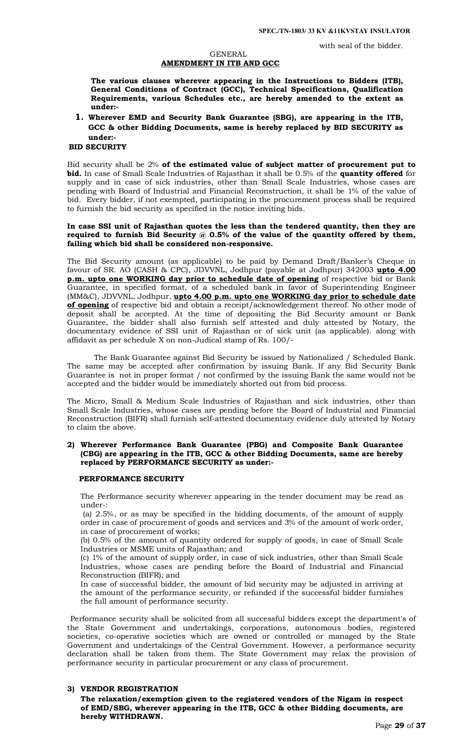with seal of the bidder.

### GENERAL **AMENDMENT IN ITB AND GCC**

**The various clauses wherever appearing in the Instructions to Bidders (ITB), General Conditions of Contract (GCC), Technical Specifications, Qualification Requirements, various Schedules etc., are hereby amended to the extent as under:-**

**1. Wherever EMD and Security Bank Guarantee (SBG), are appearing in the ITB, GCC & other Bidding Documents, same is hereby replaced by BID SECURITY as under:-**

### **BID SECURITY**

Bid security shall be 2% **of the estimated value of subject matter of procurement put to bid.** In case of Small Scale Industries of Rajasthan it shall be 0.5% of the **quantity offered** for supply and in case of sick industries, other than Small Scale Industries, whose cases are pending with Board of Industrial and Financial Reconstruction, it shall be 1% of the value of bid. Every bidder, if not exempted, participating in the procurement process shall be required to furnish the bid security as specified in the notice inviting bids.

### **In case SSI unit of Rajasthan quotes the less than the tendered quantity, then they are required to furnish Bid Security @ 0.5% of the value of the quantity offered by them, failing which bid shall be considered non-responsive.**

The Bid Security amount (as applicable) to be paid by Demand Draft/Banker's Cheque in favour of SR. AO (CASH & CPC), JDVVNL, Jodhpur (payable at Jodhpur) 342003 **upto 4.00 p.m. upto one WORKING day prior to schedule date of opening** of respective bid or Bank Guarantee, in specified format, of a scheduled bank in favor of Superintending Engineer (MM&C), JDVVNL, Jodhpur, **upto 4.00 p.m. upto one WORKING day prior to schedule date of opening** of respective bid and obtain a receipt/acknowledgement thereof. No other mode of deposit shall be accepted. At the time of depositing the Bid Security amount or Bank Guarantee, the bidder shall also furnish self attested and duly attested by Notary, the documentary evidence of SSI unit of Rajasthan or of sick unit (as applicable). along with affidavit as per schedule X on non-Judical stamp of Rs. 100/-

The Bank Guarantee against Bid Security be issued by Nationalized / Scheduled Bank. The same may be accepted after confirmation by issuing Bank. If any Bid Security Bank Guarantee is not in proper format / not confirmed by the issuing Bank the same would not be accepted and the bidder would be immediately shorted out from bid process.

The Micro, Small & Medium Scale Industries of Rajasthan and sick industries, other than Small Scale Industries, whose cases are pending before the Board of Industrial and Financial Reconstruction (BIFR) shall furnish self-attested documentary evidence duly attested by Notary to claim the above.

### **2) Wherever Performance Bank Guarantee (PBG) and Composite Bank Guarantee (CBG) are appearing in the ITB, GCC & other Bidding Documents, same are hereby replaced by PERFORMANCE SECURITY as under:-**

#### **PERFORMANCE SECURITY**

The Performance security wherever appearing in the tender document may be read as under-:

(a) 2.5%, or as may be specified in the bidding documents, of the amount of supply order in case of procurement of goods and services and 3% of the amount of work order, in case of procurement of works;

(b) 0.5% of the amount of quantity ordered for supply of goods, in case of Small Scale Industries or MSME units of Rajasthan; and

(c) 1% of the amount of supply order, in case of sick industries, other than Small Scale Industries, whose cases are pending before the Board of Industrial and Financial Reconstruction (BIFR); and

In case of successful bidder, the amount of bid security may be adjusted in arriving at the amount of the performance security, or refunded if the successful bidder furnishes the full amount of performance security.

 Performance security shall be solicited from all successful bidders except the department's of the State Government and undertakings, corporations, autonomous bodies, registered societies, co-operative societies which are owned or controlled or managed by the State Government and undertakings of the Central Government. However, a performance security declaration shall be taken from them. The State Government may relax the provision of performance security in particular procurement or any class of procurement.

### **3) VENDOR REGISTRATION**

**The relaxation/exemption given to the registered vendors of the Nigam in respect of EMD/SBG, wherever appearing in the ITB, GCC & other Bidding documents, are hereby WITHDRAWN.**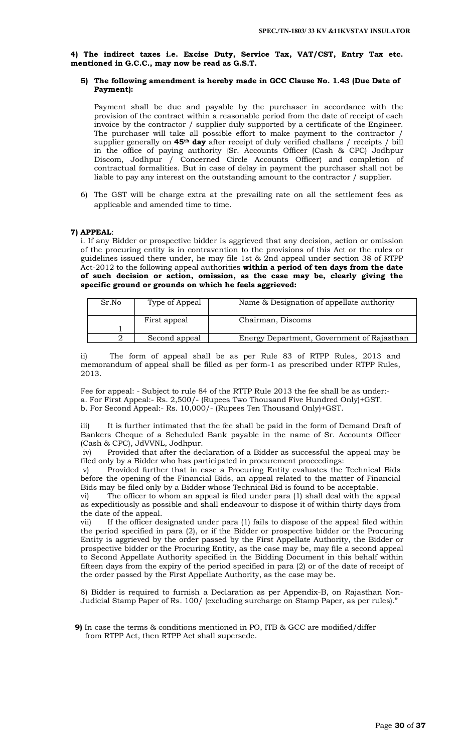**4) The indirect taxes i.e. Excise Duty, Service Tax, VAT/CST, Entry Tax etc. mentioned in G.C.C., may now be read as G.S.T.** 

### **5) The following amendment is hereby made in GCC Clause No. 1.43 (Due Date of Payment):**

Payment shall be due and payable by the purchaser in accordance with the provision of the contract within a reasonable period from the date of receipt of each invoice by the contractor / supplier duly supported by a certificate of the Engineer. The purchaser will take all possible effort to make payment to the contractor / supplier generally on **45th day** after receipt of duly verified challans / receipts / bill in the office of paying authority {Sr. Accounts Officer (Cash & CPC) Jodhpur Discom, Jodhpur / Concerned Circle Accounts Officer} and completion of contractual formalities. But in case of delay in payment the purchaser shall not be liable to pay any interest on the outstanding amount to the contractor / supplier.

6) The GST will be charge extra at the prevailing rate on all the settlement fees as applicable and amended time to time.

### **7) APPEAL**:

i. If any Bidder or prospective bidder is aggrieved that any decision, action or omission of the procuring entity is in contravention to the provisions of this Act or the rules or guidelines issued there under, he may file 1st & 2nd appeal under section 38 of RTPP Act-2012 to the following appeal authorities **within a period of ten days from the date of such decision or action, omission, as the case may be, clearly giving the specific ground or grounds on which he feels aggrieved:** 

| Sr.No | Type of Appeal | Name & Designation of appellate authority  |
|-------|----------------|--------------------------------------------|
|       | First appeal   | Chairman, Discoms                          |
|       |                |                                            |
|       | Second appeal  | Energy Department, Government of Rajasthan |

ii) The form of appeal shall be as per Rule 83 of RTPP Rules, 2013 and memorandum of appeal shall be filled as per form-1 as prescribed under RTPP Rules, 2013.

Fee for appeal: - Subject to rule 84 of the RTTP Rule 2013 the fee shall be as under: a. For First Appeal:- Rs. 2,500/- (Rupees Two Thousand Five Hundred Only)+GST. b. For Second Appeal:- Rs. 10,000/- (Rupees Ten Thousand Only)+GST.

iii) It is further intimated that the fee shall be paid in the form of Demand Draft of Bankers Cheque of a Scheduled Bank payable in the name of Sr. Accounts Officer (Cash & CPC), JdVVNL, Jodhpur.

iv) Provided that after the declaration of a Bidder as successful the appeal may be filed only by a Bidder who has participated in procurement proceedings:

v) Provided further that in case a Procuring Entity evaluates the Technical Bids before the opening of the Financial Bids, an appeal related to the matter of Financial Bids may be filed only by a Bidder whose Technical Bid is found to be acceptable.

vi) The officer to whom an appeal is filed under para (1) shall deal with the appeal as expeditiously as possible and shall endeavour to dispose it of within thirty days from the date of the appeal.

vii) If the officer designated under para (1) fails to dispose of the appeal filed within the period specified in para (2), or if the Bidder or prospective bidder or the Procuring Entity is aggrieved by the order passed by the First Appellate Authority, the Bidder or prospective bidder or the Procuring Entity, as the case may be, may file a second appeal to Second Appellate Authority specified in the Bidding Document in this behalf within fifteen days from the expiry of the period specified in para (2) or of the date of receipt of the order passed by the First Appellate Authority, as the case may be.

8) Bidder is required to furnish a Declaration as per Appendix-B, on Rajasthan Non-Judicial Stamp Paper of Rs. 100/ (excluding surcharge on Stamp Paper, as per rules)."

**9)** In case the terms & conditions mentioned in PO, ITB & GCC are modified/differ from RTPP Act, then RTPP Act shall supersede.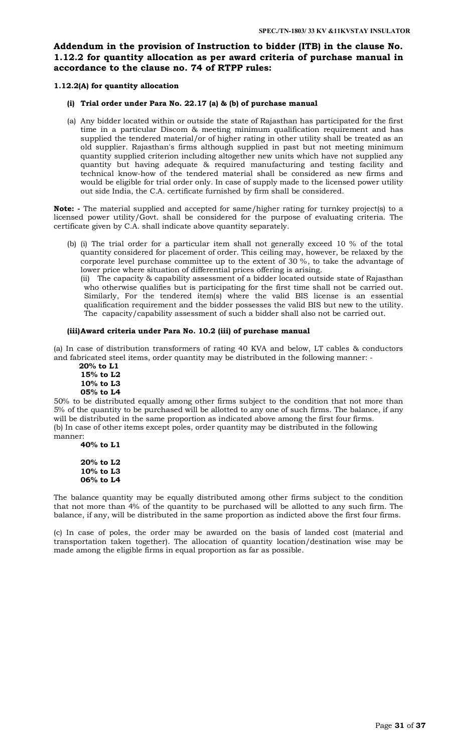# **Addendum in the provision of Instruction to bidder (ITB) in the clause No. 1.12.2 for quantity allocation as per award criteria of purchase manual in accordance to the clause no. 74 of RTPP rules:**

### **1.12.2(A) for quantity allocation**

### **(i) Trial order under Para No. 22.17 (a) & (b) of purchase manual**

(a) Any bidder located within or outside the state of Rajasthan has participated for the first time in a particular Discom & meeting minimum qualification requirement and has supplied the tendered material/or of higher rating in other utility shall be treated as an old supplier. Rajasthan's firms although supplied in past but not meeting minimum quantity supplied criterion including altogether new units which have not supplied any quantity but having adequate & required manufacturing and testing facility and technical know-how of the tendered material shall be considered as new firms and would be eligible for trial order only. In case of supply made to the licensed power utility out side India, the C.A. certificate furnished by firm shall be considered.

**Note: -** The material supplied and accepted for same/higher rating for turnkey project(s) to a licensed power utility/Govt. shall be considered for the purpose of evaluating criteria. The certificate given by C.A. shall indicate above quantity separately.

(b) (i) The trial order for a particular item shall not generally exceed 10 % of the total quantity considered for placement of order. This ceiling may, however, be relaxed by the corporate level purchase committee up to the extent of 30 %, to take the advantage of lower price where situation of differential prices offering is arising.

(ii) The capacity & capability assessment of a bidder located outside state of Rajasthan who otherwise qualifies but is participating for the first time shall not be carried out. Similarly, For the tendered item(s) where the valid BIS license is an essential qualification requirement and the bidder possesses the valid BIS but new to the utility. The capacity/capability assessment of such a bidder shall also not be carried out.

### **(iii)Award criteria under Para No. 10.2 (iii) of purchase manual**

(a) In case of distribution transformers of rating 40 KVA and below, LT cables & conductors and fabricated steel items, order quantity may be distributed in the following manner: -

 **20% to L1 15% to L2 10% to L3 05% to L4**

50% to be distributed equally among other firms subject to the condition that not more than 5% of the quantity to be purchased will be allotted to any one of such firms. The balance, if any will be distributed in the same proportion as indicated above among the first four firms. (b) In case of other items except poles, order quantity may be distributed in the following manner:

**40% to L1**

**20% to L2 10% to L3 06% to L4**

The balance quantity may be equally distributed among other firms subject to the condition that not more than 4% of the quantity to be purchased will be allotted to any such firm. The balance, if any, will be distributed in the same proportion as indicted above the first four firms.

(c) In case of poles, the order may be awarded on the basis of landed cost (material and transportation taken together). The allocation of quantity location/destination wise may be made among the eligible firms in equal proportion as far as possible.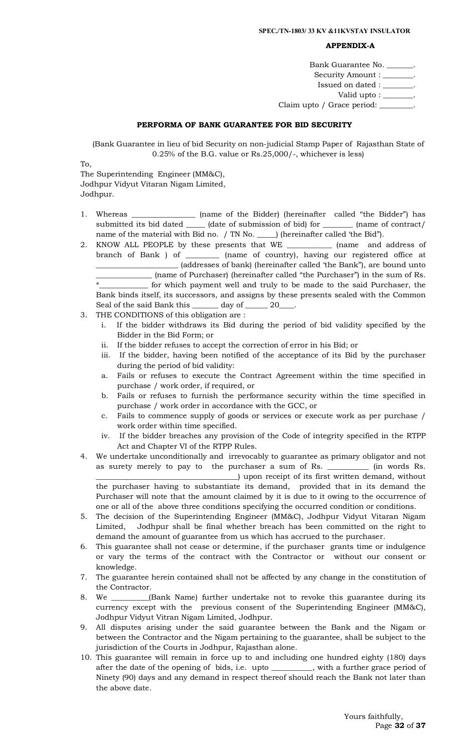#### **APPENDIX-A**

| Bank Guarantee No.           |
|------------------------------|
| Security Amount : ______     |
| Issued on dated : ____       |
| Valid upto : $\equiv$        |
| Claim upto / Grace period: _ |

#### **PERFORMA OF BANK GUARANTEE FOR BID SECURITY**

(Bank Guarantee in lieu of bid Security on non-judicial Stamp Paper of Rajasthan State of 0.25% of the B.G. value or Rs.25,000/-, whichever is less)

To, The Superintending Engineer (MM&C),

Jodhpur Vidyut Vitaran Nigam Limited, Jodhpur.

- 1. Whereas \_\_\_\_\_\_\_\_\_\_\_\_\_\_\_\_\_ (name of the Bidder) (hereinafter called "the Bidder") has submitted its bid dated \_\_\_\_\_\_ (date of submission of bid) for \_\_\_\_\_\_\_\_ (name of contract/ name of the material with Bid no. / TN No. \_\_\_\_\_) (hereinafter called 'the Bid").
- 2. KNOW ALL PEOPLE by these presents that WE \_\_\_\_\_\_\_\_\_\_\_\_ (name and address of branch of Bank ) of \_\_\_\_\_\_\_\_\_ (name of country), having our registered office at \_\_\_\_\_\_\_\_\_\_\_\_\_\_\_\_\_\_\_\_\_\_ (addresses of bank) (hereinafter called 'the Bank"), are bound unto \_\_\_\_\_\_\_\_\_\_\_\_\_\_\_ (name of Purchaser) (hereinafter called "the Purchaser") in the sum of Rs. \*\_\_\_\_\_\_\_\_\_\_\_\_\_ for which payment well and truly to be made to the said Purchaser, the Bank binds itself, its successors, and assigns by these presents sealed with the Common Seal of the said Bank this \_\_\_\_\_\_\_ day of \_\_\_\_\_\_ 20\_\_\_\_.
- 3. THE CONDITIONS of this obligation are :
	- i. If the bidder withdraws its Bid during the period of bid validity specified by the Bidder in the Bid Form; or
	- ii. If the bidder refuses to accept the correction of error in his Bid; or
	- iii. If the bidder, having been notified of the acceptance of its Bid by the purchaser during the period of bid validity:
	- a. Fails or refuses to execute the Contract Agreement within the time specified in purchase / work order, if required, or
	- b. Fails or refuses to furnish the performance security within the time specified in purchase / work order in accordance with the GCC, or
	- c. Fails to commence supply of goods or services or execute work as per purchase / work order within time specified.
	- iv. If the bidder breaches any provision of the Code of integrity specified in the RTPP Act and Chapter VI of the RTPP Rules.
- 4. We undertake unconditionally and irrevocably to guarantee as primary obligator and not as surety merely to pay to the purchaser a sum of Rs. \_\_\_\_\_\_\_\_\_\_\_ (in words Rs. \_\_\_\_\_\_\_\_\_\_\_\_\_\_\_\_\_\_\_\_\_\_\_\_\_\_\_\_\_\_\_\_\_\_\_\_\_\_) upon receipt of its first written demand, without the purchaser having to substantiate its demand, provided that in its demand the Purchaser will note that the amount claimed by it is due to it owing to the occurrence of one or all of the above three conditions specifying the occurred condition or conditions.
- 5. The decision of the Superintending Engineer (MM&C), Jodhpur Vidyut Vitaran Nigam Limited, Jodhpur shall be final whether breach has been committed on the right to demand the amount of guarantee from us which has accrued to the purchaser.
- 6. This guarantee shall not cease or determine, if the purchaser grants time or indulgence or vary the terms of the contract with the Contractor or without our consent or knowledge.
- 7. The guarantee herein contained shall not be affected by any change in the constitution of the Contractor.
- 8. We \_\_\_\_\_\_\_\_\_\_(Bank Name) further undertake not to revoke this guarantee during its currency except with the previous consent of the Superintending Engineer (MM&C), Jodhpur Vidyut Vitran Nigam Limited, Jodhpur.
- 9. All disputes arising under the said guarantee between the Bank and the Nigam or between the Contractor and the Nigam pertaining to the guarantee, shall be subject to the jurisdiction of the Courts in Jodhpur, Rajasthan alone.
- 10. This guarantee will remain in force up to and including one hundred eighty (180) days after the date of the opening of bids, i.e. upto \_\_\_\_\_\_\_\_\_\_\_, with a further grace period of Ninety (90) days and any demand in respect thereof should reach the Bank not later than the above date.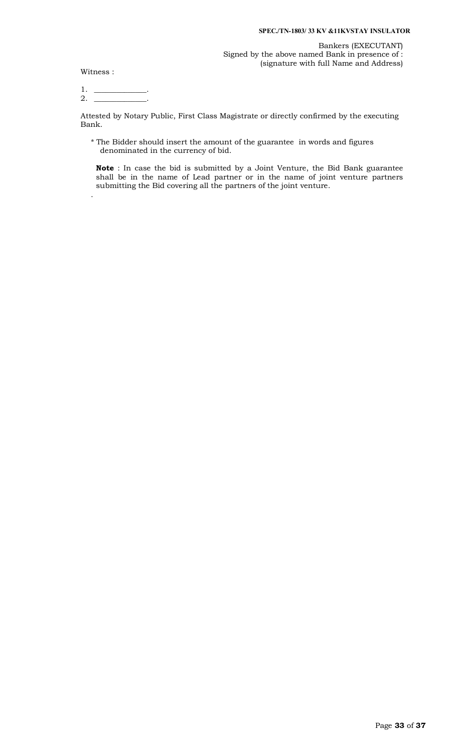Witness :

.

1.  $\_\_$  $2.$ 

Attested by Notary Public, First Class Magistrate or directly confirmed by the executing Bank.

\* The Bidder should insert the amount of the guarantee in words and figures denominated in the currency of bid.

**Note** : In case the bid is submitted by a Joint Venture, the Bid Bank guarantee shall be in the name of Lead partner or in the name of joint venture partners submitting the Bid covering all the partners of the joint venture.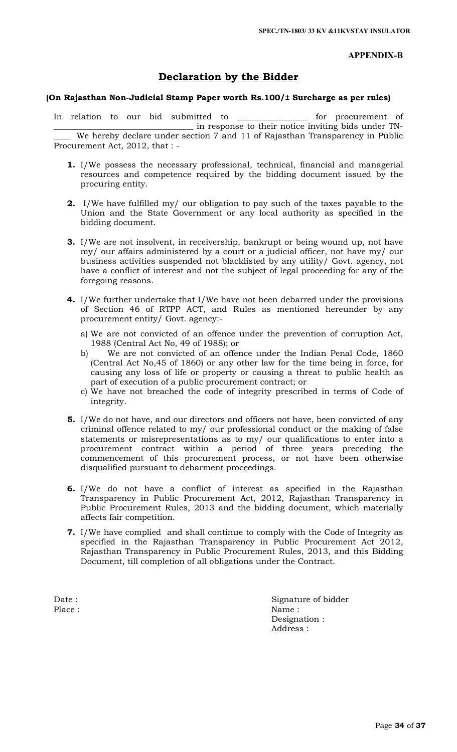**APPENDIX-B**

# **Declaration by the Bidder**

# **(On Rajasthan Non-Judicial Stamp Paper worth Rs.100/± Surcharge as per rules)**

In relation to our bid submitted to \_\_\_\_\_\_\_\_\_\_\_\_\_\_\_\_\_ for procurement of \_\_\_\_\_\_\_\_\_\_\_\_\_\_\_\_\_\_\_\_\_\_\_\_\_\_\_\_\_\_\_\_\_\_ in response to their notice inviting bids under TN- We hereby declare under section 7 and 11 of Rajasthan Transparency in Public Procurement Act, 2012, that : -

- **1.** I/We possess the necessary professional, technical, financial and managerial resources and competence required by the bidding document issued by the procuring entity.
- **2.** I/We have fulfilled my/ our obligation to pay such of the taxes payable to the Union and the State Government or any local authority as specified in the bidding document.
- **3.** I/We are not insolvent, in receivership, bankrupt or being wound up, not have my/ our affairs administered by a court or a judicial officer, not have my/ our business activities suspended not blacklisted by any utility/ Govt. agency, not have a conflict of interest and not the subject of legal proceeding for any of the foregoing reasons.
- **4.** I/We further undertake that I/We have not been debarred under the provisions of Section 46 of RTPP ACT, and Rules as mentioned hereunder by any procurement entity/ Govt. agency:
	- a) We are not convicted of an offence under the prevention of corruption Act, 1988 (Central Act No, 49 of 1988); or
	- b) We are not convicted of an offence under the Indian Penal Code, 1860 (Central Act No,45 of 1860) or any other law for the time being in force, for causing any loss of life or property or causing a threat to public health as part of execution of a public procurement contract; or
	- c) We have not breached the code of integrity prescribed in terms of Code of integrity.
- **5.** I/We do not have, and our directors and officers not have, been convicted of any criminal offence related to my/ our professional conduct or the making of false statements or misrepresentations as to my/ our qualifications to enter into a procurement contract within a period of three years preceding the commencement of this procurement process, or not have been otherwise disqualified pursuant to debarment proceedings.
- **6.** I/We do not have a conflict of interest as specified in the Rajasthan Transparency in Public Procurement Act, 2012, Rajasthan Transparency in Public Procurement Rules, 2013 and the bidding document, which materially affects fair competition.
- **7.** I/We have complied and shall continue to comply with the Code of Integrity as specified in the Rajasthan Transparency in Public Procurement Act 2012, Rajasthan Transparency in Public Procurement Rules, 2013, and this Bidding Document, till completion of all obligations under the Contract.

Date : Signature of bidder Place : Name : Name : Designation : Address :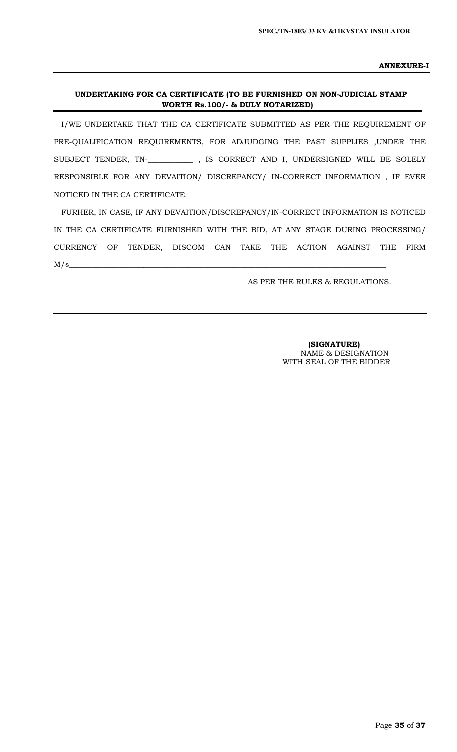**ANNEXURE-I**

### **UNDERTAKING FOR CA CERTIFICATE (TO BE FURNISHED ON NON-JUDICIAL STAMP WORTH Rs.100/- & DULY NOTARIZED)**

I/WE UNDERTAKE THAT THE CA CERTIFICATE SUBMITTED AS PER THE REQUIREMENT OF PRE-QUALIFICATION REQUIREMENTS, FOR ADJUDGING THE PAST SUPPLIES ,UNDER THE SUBJECT TENDER, TN-\_**\_\_\_\_\_\_\_\_\_\_\_** , IS CORRECT AND I, UNDERSIGNED WILL BE SOLELY RESPONSIBLE FOR ANY DEVAITION/ DISCREPANCY/ IN-CORRECT INFORMATION , IF EVER NOTICED IN THE CA CERTIFICATE.

FURHER, IN CASE, IF ANY DEVAITION/DISCREPANCY/IN-CORRECT INFORMATION IS NOTICED IN THE CA CERTIFICATE FURNISHED WITH THE BID, AT ANY STAGE DURING PROCESSING/ CURRENCY OF TENDER, DISCOM CAN TAKE THE ACTION AGAINST THE FIRM  $M/s$ 

\_\_\_\_\_\_\_\_\_\_\_\_\_\_\_\_\_\_\_\_\_\_\_\_\_\_\_\_\_\_\_\_\_\_\_\_\_\_\_\_\_\_\_\_\_\_\_\_\_\_\_\_AS PER THE RULES & REGULATIONS.

 **(SIGNATURE)** NAME & DESIGNATION WITH SEAL OF THE BIDDER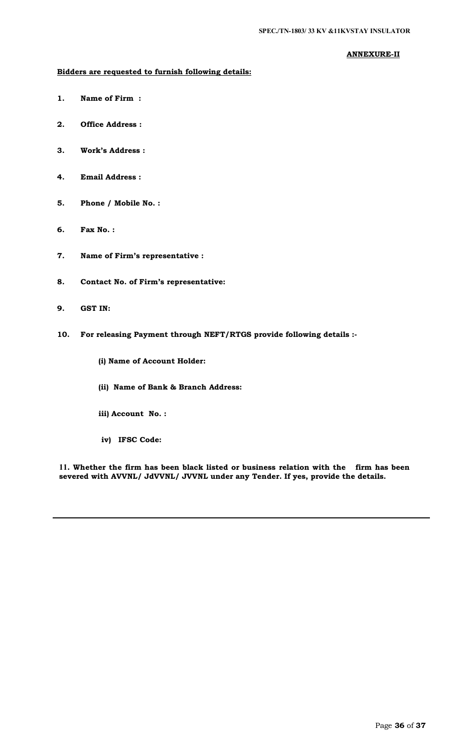# **ANNEXURE-II**

# **Bidders are requested to furnish following details:**

- **1. Name of Firm :**
- **2. Office Address :**
- **3. Work's Address :**
- **4. Email Address :**
- **5. Phone / Mobile No. :**
- **6. Fax No. :**
- **7. Name of Firm's representative :**
- **8. Contact No. of Firm's representative:**
- **9. GST IN:**
- **10. For releasing Payment through NEFT/RTGS provide following details :-**
	- **(i) Name of Account Holder:**
	- **(ii) Name of Bank & Branch Address:**
	- **iii) Account No. :**
	- **iv) IFSC Code:**

**11. Whether the firm has been black listed or business relation with the firm has been severed with AVVNL/ JdVVNL/ JVVNL under any Tender. If yes, provide the details.**